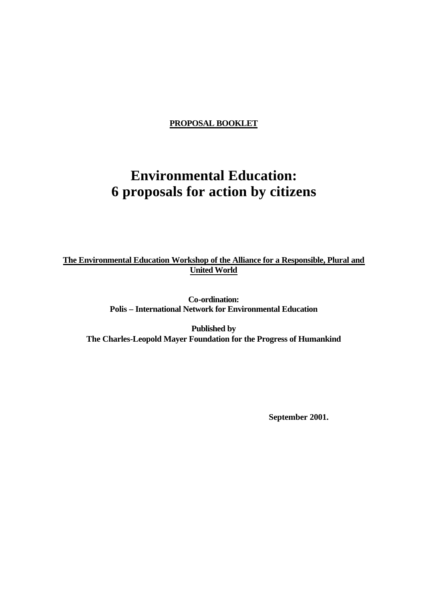**PROPOSAL BOOKLET**

# **Environmental Education: 6 proposals for action by citizens**

**The Environmental Education Workshop of the Alliance for a Responsible, Plural and United World** 

> **Co-ordination: Polis – International Network for Environmental Education**

**Published by The Charles-Leopold Mayer Foundation for the Progress of Humankind** 

**September 2001.**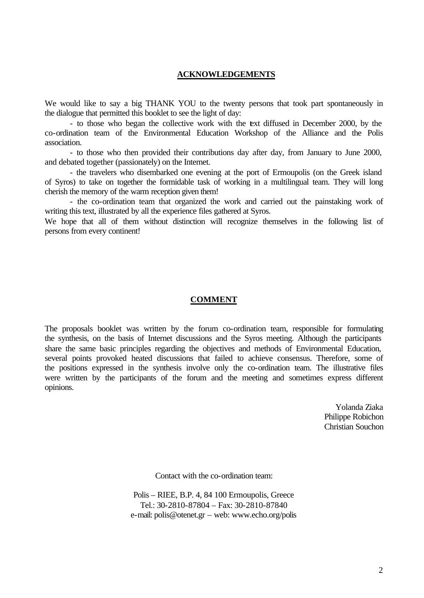#### **ACKNOWLEDGEMENTS**

We would like to say a big THANK YOU to the twenty persons that took part spontaneously in the dialogue that permitted this booklet to see the light of day:

- to those who began the collective work with the text diffused in December 2000, by the co-ordination team of the Environmental Education Workshop of the Alliance and the Polis association.

- to those who then provided their contributions day after day, from January to June 2000, and debated together (passionately) on the Internet.

- the travelers who disembarked one evening at the port of Ermoupolis (on the Greek island of Syros) to take on together the formidable task of working in a multilingual team. They will long cherish the memory of the warm reception given them!

- the co-ordination team that organized the work and carried out the painstaking work of writing this text, illustrated by all the experience files gathered at Syros.

We hope that all of them without distinction will recognize themselves in the following list of persons from every continent!

#### **COMMENT**

The proposals booklet was written by the forum co-ordination team, responsible for formulating the synthesis, on the basis of Internet discussions and the Syros meeting. Although the participants share the same basic principles regarding the objectives and methods of Environmental Education, several points provoked heated discussions that failed to achieve consensus. Therefore, some of the positions expressed in the synthesis involve only the co-ordination team. The illustrative files were written by the participants of the forum and the meeting and sometimes express different opinions.

> Yolanda Ziaka Philippe Robichon Christian Souchon

Contact with the co-ordination team:

Polis – RIEE, B.P. 4, 84 100 Ermoupolis, Greece Tel.: 30-2810-87804 – Fax: 30-2810-87840 e-mail: polis@otenet.gr – web: www.echo.org/polis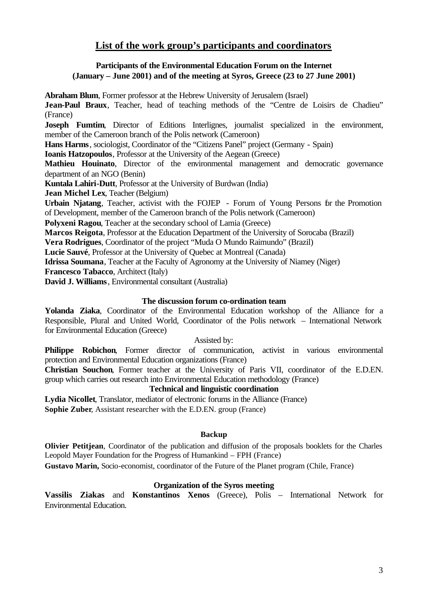# **List of the work group's participants and coordinators**

## **Participants of the Environmental Education Forum on the Internet (January – June 2001) and of the meeting at Syros, Greece (23 to 27 June 2001)**

**Abraham Blum**, Former professor at the Hebrew University of Jerusalem (Israel)

Jean-Paul Braux, Teacher, head of teaching methods of the "Centre de Loisirs de Chadieu" (France)

**Joseph Fumtim**, Director of Editions Interlignes, journalist specialized in the environment, member of the Cameroon branch of the Polis network (Cameroon)

**Hans Harms**, sociologist, Coordinator of the "Citizens Panel" project (Germany - Spain)

**Ioanis Hatzopoulos**, Professor at the University of the Aegean (Greece)

**Mathieu Houinato**, Director of the environmental management and democratic governance department of an NGO (Benin)

**Kuntala Lahiri-Dutt**, Professor at the University of Burdwan (India)

**Jean Michel Lex**, Teacher (Belgium)

**Urbain Njatang**, Teacher, activist with the FOJEP - Forum of Young Persons for the Promotion of Development, member of the Cameroon branch of the Polis network (Cameroon)

**Polyxeni Ragou**, Teacher at the secondary school of Lamia (Greece)

**Marcos Reigota**, Professor at the Education Department of the University of Sorocaba (Brazil)

**Vera Rodrigues**, Coordinator of the project "Muda O Mundo Raimundo" (Brazil)

**Lucie Sauvé**, Professor at the University of Quebec at Montreal (Canada)

**Idrissa Soumana**, Teacher at the Faculty of Agronomy at the University of Niamey (Niger)

**Francesco Tabacco**, Architect (Italy)

**David J. Williams**, Environmental consultant (Australia)

## **The discussion forum co-ordination team**

**Yolanda Ziaka**, Coordinator of the Environmental Education workshop of the Alliance for a Responsible, Plural and United World, Coordinator of the Polis network – International Network for Environmental Education (Greece)

Assisted by:

**Philippe Robichon**, Former director of communication, activist in various environmental protection and Environmental Education organizations (France)

**Christian Souchon**, Former teacher at the University of Paris VII, coordinator of the E.D.EN. group which carries out research into Environmental Education methodology (France)

## **Technical and linguistic coordination**

**Lydia Nicollet**, Translator, mediator of electronic forums in the Alliance (France) **Sophie Zuber**, Assistant researcher with the E.D.EN. group (France)

## **Backup**

**Olivier Petitjean**, Coordinator of the publication and diffusion of the proposals booklets for the Charles Leopold Mayer Foundation for the Progress of Humankind – FPH (France)

**Gustavo Marin,** Socio-economist, coordinator of the Future of the Planet program (Chile, France)

## **Organization of the Syros meeting**

**Vassilis Ziakas** and **Konstantinos Xenos** (Greece), Polis – International Network for Environmental Education.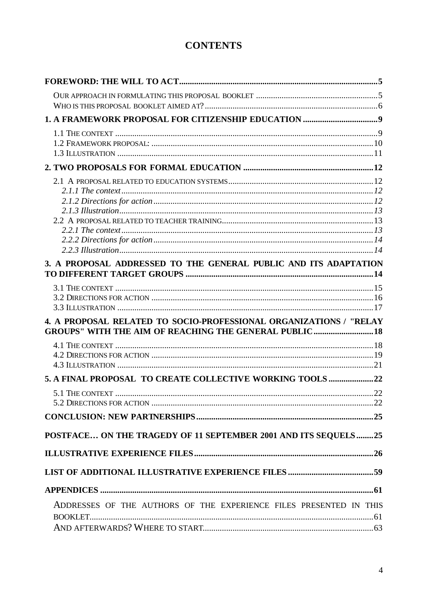# **CONTENTS**

| 3. A PROPOSAL ADDRESSED TO THE GENERAL PUBLIC AND ITS ADAPTATION                                                                    |    |
|-------------------------------------------------------------------------------------------------------------------------------------|----|
|                                                                                                                                     |    |
|                                                                                                                                     |    |
|                                                                                                                                     |    |
|                                                                                                                                     |    |
| 4. A PROPOSAL RELATED TO SOCIO-PROFESSIONAL ORGANIZATIONS / "RELAY<br><b>GROUPS" WITH THE AIM OF REACHING THE GENERAL PUBLIC 18</b> |    |
|                                                                                                                                     |    |
|                                                                                                                                     |    |
|                                                                                                                                     |    |
| 5. A FINAL PROPOSAL TO CREATE COLLECTIVE WORKING TOOLS 22                                                                           |    |
|                                                                                                                                     | 22 |
|                                                                                                                                     |    |
|                                                                                                                                     |    |
| POSTFACE ON THE TRAGEDY OF 11 SEPTEMBER 2001 AND ITS SEQUELS25                                                                      |    |
|                                                                                                                                     |    |
|                                                                                                                                     |    |
|                                                                                                                                     |    |
|                                                                                                                                     |    |
| ADDRESSES OF THE AUTHORS OF THE EXPERIENCE FILES PRESENTED IN THIS                                                                  |    |
|                                                                                                                                     |    |
|                                                                                                                                     |    |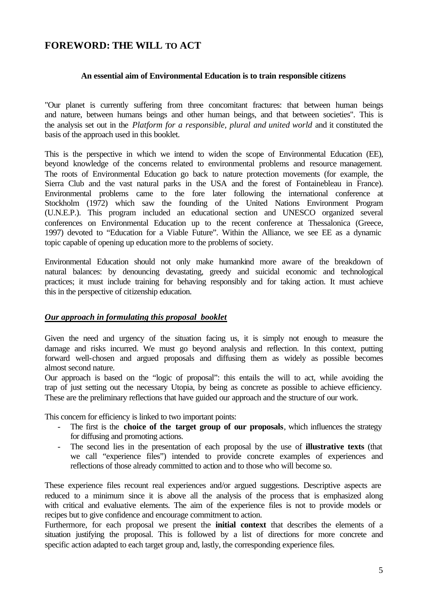# **FOREWORD: THE WILL TO ACT**

#### **An essential aim of Environmental Education is to train responsible citizens**

"Our planet is currently suffering from three concomitant fractures: that between human beings and nature, between humans beings and other human beings, and that between societies". This is the analysis set out in the *Platform for a responsible, plural and united world* and it constituted the basis of the approach used in this booklet.

This is the perspective in which we intend to widen the scope of Environmental Education (EE), beyond knowledge of the concerns related to environmental problems and resource management. The roots of Environmental Education go back to nature protection movements (for example, the Sierra Club and the vast natural parks in the USA and the forest of Fontainebleau in France). Environmental problems came to the fore later following the international conference at Stockholm (1972) which saw the founding of the United Nations Environment Program (U.N.E.P.). This program included an educational section and UNESCO organized several conferences on Environmental Education up to the recent conference at Thessalonica (Greece, 1997) devoted to "Education for a Viable Future". Within the Alliance, we see EE as a dynamic topic capable of opening up education more to the problems of society.

Environmental Education should not only make humankind more aware of the breakdown of natural balances: by denouncing devastating, greedy and suicidal economic and technological practices; it must include training for behaving responsibly and for taking action. It must achieve this in the perspective of citizenship education.

#### *Our approach in formulating this proposal booklet*

Given the need and urgency of the situation facing us, it is simply not enough to measure the damage and risks incurred. We must go beyond analysis and reflection. In this context, putting forward well-chosen and argued proposals and diffusing them as widely as possible becomes almost second nature.

Our approach is based on the "logic of proposal": this entails the will to act, while avoiding the trap of just setting out the necessary Utopia, by being as concrete as possible to achieve efficiency. These are the preliminary reflections that have guided our approach and the structure of our work.

This concern for efficiency is linked to two important points:

- The first is the **choice of the target group of our proposals**, which influences the strategy for diffusing and promoting actions.
- The second lies in the presentation of each proposal by the use of **illustrative texts** (that we call "experience files") intended to provide concrete examples of experiences and reflections of those already committed to action and to those who will become so.

These experience files recount real experiences and/or argued suggestions. Descriptive aspects are reduced to a minimum since it is above all the analysis of the process that is emphasized along with critical and evaluative elements. The aim of the experience files is not to provide models or recipes but to give confidence and encourage commitment to action.

Furthermore, for each proposal we present the **initial context** that describes the elements of a situation justifying the proposal. This is followed by a list of directions for more concrete and specific action adapted to each target group and, lastly, the corresponding experience files.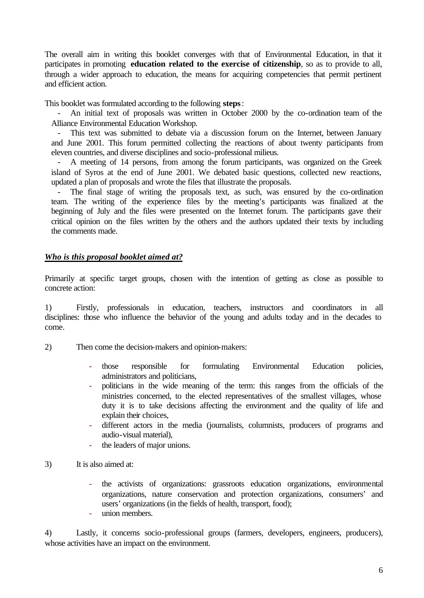The overall aim in writing this booklet converges with that of Environmental Education, in that it participates in promoting **education related to the exercise of citizenship**, so as to provide to all, through a wider approach to education, the means for acquiring competencies that permit pertinent and efficient action.

This booklet was formulated according to the following **steps**:

- An initial text of proposals was written in October 2000 by the co-ordination team of the Alliance Environmental Education Workshop.

- This text was submitted to debate via a discussion forum on the Internet, between January and June 2001. This forum permitted collecting the reactions of about twenty participants from eleven countries, and diverse disciplines and socio-professional milieus.

A meeting of 14 persons, from among the forum participants, was organized on the Greek island of Syros at the end of June 2001. We debated basic questions, collected new reactions, updated a plan of proposals and wrote the files that illustrate the proposals.

The final stage of writing the proposals text, as such, was ensured by the co-ordination team. The writing of the experience files by the meeting's participants was finalized at the beginning of July and the files were presented on the Internet forum. The participants gave their critical opinion on the files written by the others and the authors updated their texts by including the comments made.

## *Who is this proposal booklet aimed at?*

Primarily at specific target groups, chosen with the intention of getting as close as possible to concrete action:

1) Firstly, professionals in education, teachers, instructors and coordinators in all disciplines: those who influence the behavior of the young and adults today and in the decades to come.

- 2) Then come the decision-makers and opinion-makers:
	- those responsible for formulating Environmental Education policies, administrators and politicians,
	- politicians in the wide meaning of the term: this ranges from the officials of the ministries concerned, to the elected representatives of the smallest villages, whose duty it is to take decisions affecting the environment and the quality of life and explain their choices,
	- different actors in the media (journalists, columnists, producers of programs and audio-visual material),
	- the leaders of major unions.
- 3) It is also aimed at:
	- the activists of organizations: grassroots education organizations, environmental organizations, nature conservation and protection organizations, consumers' and users' organizations (in the fields of health, transport, food);
	- union members.

4) Lastly, it concerns socio-professional groups (farmers, developers, engineers, producers), whose activities have an impact on the environment.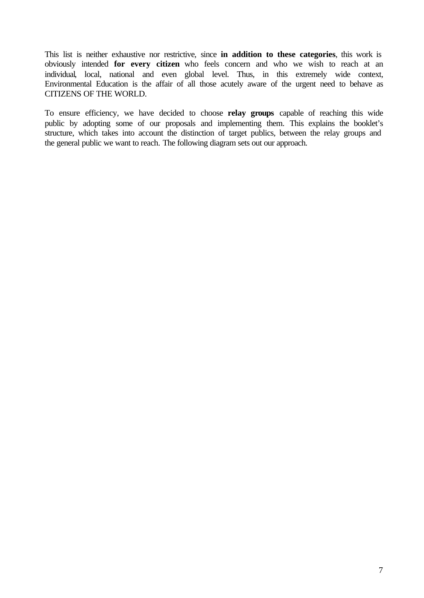This list is neither exhaustive nor restrictive, since **in addition to these categories**, this work is obviously intended **for every citizen** who feels concern and who we wish to reach at an individual, local, national and even global level. Thus, in this extremely wide context, Environmental Education is the affair of all those acutely aware of the urgent need to behave as CITIZENS OF THE WORLD.

To ensure efficiency, we have decided to choose **relay groups** capable of reaching this wide public by adopting some of our proposals and implementing them. This explains the booklet's structure, which takes into account the distinction of target publics, between the relay groups and the general public we want to reach. The following diagram sets out our approach.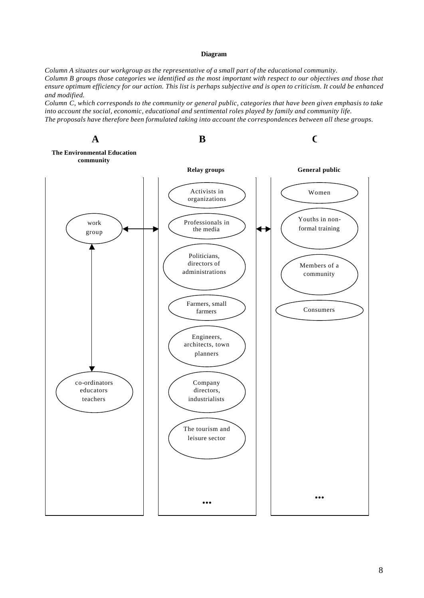#### **Diagram**

*Column A situates our workgroup as the representative of a small part of the educational community. Column B groups those categories we identified as the most important with respect to our objectives and those that ensure optimum efficiency for our action. This list is perhaps subjective and is open to criticism. It could be enhanced and modified.*

*Column C, which corresponds to the community or general public, categories that have been given emphasis to take into account the social, economic, educational and sentimental roles played by family and community life. The proposals have therefore been formulated taking into account the correspondences between all these groups.*

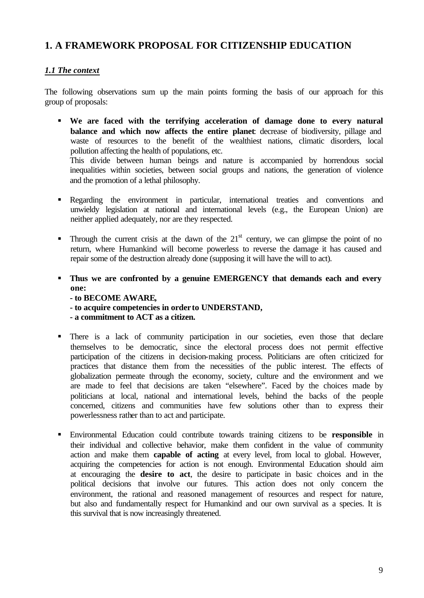# **1. A FRAMEWORK PROPOSAL FOR CITIZENSHIP EDUCATION**

## *1.1 The context*

The following observations sum up the main points forming the basis of our approach for this group of proposals:

ß **We are faced with the terrifying acceleration of damage done to every natural balance and which now affects the entire planet**: decrease of biodiversity, pillage and waste of resources to the benefit of the wealthiest nations, climatic disorders, local pollution affecting the health of populations, etc. This divide between human beings and nature is accompanied by horrendous social

inequalities within societies, between social groups and nations, the generation of violence and the promotion of a lethal philosophy.

- Regarding the environment in particular, international treaties and conventions and unwieldy legislation at national and international levels (e.g., the European Union) are neither applied adequately, nor are they respected.
- **Through the current crisis at the dawn of the 21**<sup>st</sup> century, we can glimpse the point of no return, where Humankind will become powerless to reverse the damage it has caused and repair some of the destruction already done (supposing it will have the will to act).
- **Thus we are confronted by a genuine EMERGENCY that demands each and every one:**

**- to BECOME AWARE,**

**- to acquire competencies in order to UNDERSTAND,**

**- a commitment to ACT as a citizen.**

- ß There is a lack of community participation in our societies, even those that declare themselves to be democratic, since the electoral process does not permit effective participation of the citizens in decision-making process. Politicians are often criticized for practices that distance them from the necessities of the public interest. The effects of globalization permeate through the economy, society, culture and the environment and we are made to feel that decisions are taken "elsewhere". Faced by the choices made by politicians at local, national and international levels, behind the backs of the people concerned, citizens and communities have few solutions other than to express their powerlessness rather than to act and participate.
- ß Environmental Education could contribute towards training citizens to be **responsible** in their individual and collective behavior, make them confident in the value of community action and make them **capable of acting** at every level, from local to global. However, acquiring the competencies for action is not enough. Environmental Education should aim at encouraging the **desire to act**, the desire to participate in basic choices and in the political decisions that involve our futures. This action does not only concern the environment, the rational and reasoned management of resources and respect for nature, but also and fundamentally respect for Humankind and our own survival as a species. It is this survival that is now increasingly threatened.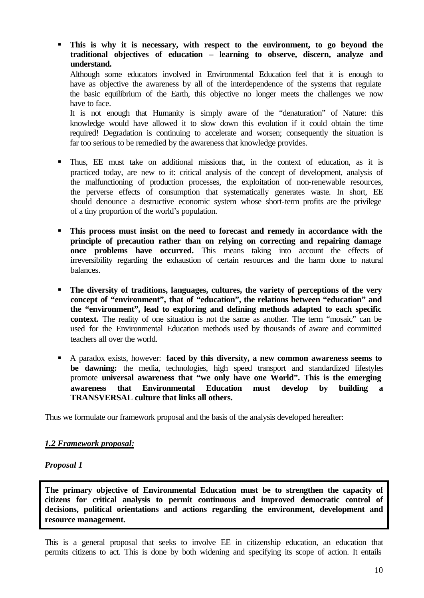ß **This is why it is necessary, with respect to the environment, to go beyond the traditional objectives of education – learning to observe, discern, analyze and understand.**

Although some educators involved in Environmental Education feel that it is enough to have as objective the awareness by all of the interdependence of the systems that regulate the basic equilibrium of the Earth, this objective no longer meets the challenges we now have to face.

It is not enough that Humanity is simply aware of the "denaturation" of Nature: this knowledge would have allowed it to slow down this evolution if it could obtain the time required! Degradation is continuing to accelerate and worsen; consequently the situation is far too serious to be remedied by the awareness that knowledge provides.

- ß Thus, EE must take on additional missions that, in the context of education, as it is practiced today, are new to it: critical analysis of the concept of development, analysis of the malfunctioning of production processes, the exploitation of non-renewable resources, the perverse effects of consumption that systematically generates waste. In short, EE should denounce a destructive economic system whose short-term profits are the privilege of a tiny proportion of the world's population.
- **This process must insist on the need to forecast and remedy in accordance with the principle of precaution rather than on relying on correcting and repairing damage once problems have occurred.** This means taking into account the effects of irreversibility regarding the exhaustion of certain resources and the harm done to natural balances.
- **The diversity of traditions, languages, cultures, the variety of perceptions of the very concept of "environment", that of "education", the relations between "education" and the "environment", lead to exploring and defining methods adapted to each specific context.** The reality of one situation is not the same as another. The term "mosaic" can be used for the Environmental Education methods used by thousands of aware and committed teachers all over the world.
- A paradox exists, however: **faced by this diversity, a new common awareness seems to be dawning:** the media, technologies, high speed transport and standardized lifestyles promote **universal awareness that "we only have one World". This is the emerging awareness that Environmental Education must develop by building a TRANSVERSAL culture that links all others.**

Thus we formulate our framework proposal and the basis of the analysis developed hereafter:

## *1.2 Framework proposal:*

#### *Proposal 1*

**The primary objective of Environmental Education must be to strengthen the capacity of citizens for critical analysis to permit continuous and improved democratic control of decisions, political orientations and actions regarding the environment, development and resource management.**

This is a general proposal that seeks to involve EE in citizenship education, an education that permits citizens to act. This is done by both widening and specifying its scope of action. It entails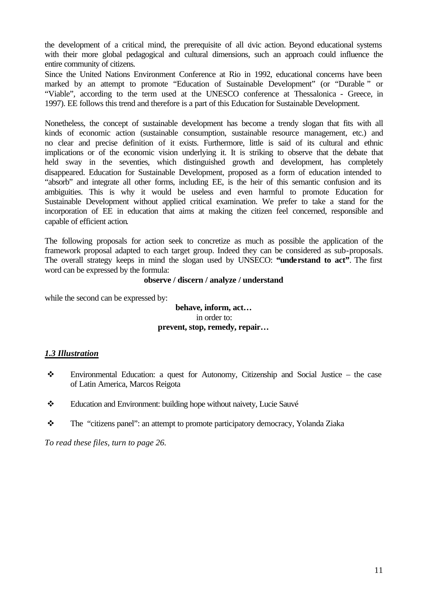the development of a critical mind, the prerequisite of all divic action. Beyond educational systems with their more global pedagogical and cultural dimensions, such an approach could influence the entire community of citizens.

Since the United Nations Environment Conference at Rio in 1992, educational concerns have been marked by an attempt to promote "Education of Sustainable Development" (or "Durable " or "Viable", according to the term used at the UNESCO conference at Thessalonica - Greece, in 1997). EE follows this trend and therefore is a part of this Education for Sustainable Development.

Nonetheless, the concept of sustainable development has become a trendy slogan that fits with all kinds of economic action (sustainable consumption, sustainable resource management, etc.) and no clear and precise definition of it exists. Furthermore, little is said of its cultural and ethnic implications or of the economic vision underlying it. It is striking to observe that the debate that held sway in the seventies, which distinguished growth and development, has completely disappeared. Education for Sustainable Development, proposed as a form of education intended to "absorb" and integrate all other forms, including EE, is the heir of this semantic confusion and its ambiguities. This is why it would be useless and even harmful to promote Education for Sustainable Development without applied critical examination. We prefer to take a stand for the incorporation of EE in education that aims at making the citizen feel concerned, responsible and capable of efficient action.

The following proposals for action seek to concretize as much as possible the application of the framework proposal adapted to each target group. Indeed they can be considered as sub-proposals. The overall strategy keeps in mind the slogan used by UNSECO: **"understand to act"**. The first word can be expressed by the formula:

#### **observe / discern / analyze / understand**

while the second can be expressed by:

#### **behave, inform, act…** in order to: **prevent, stop, remedy, repair…**

#### *1.3 Illustration*

- Environmental Education: a quest for Autonomy, Citizenship and Social Justice the case of Latin America, Marcos Reigota
- \* Education and Environment: building hope without naivety, Lucie Sauvé
- \* The "citizens panel": an attempt to promote participatory democracy, Yolanda Ziaka

*To read these files, turn to page 26.*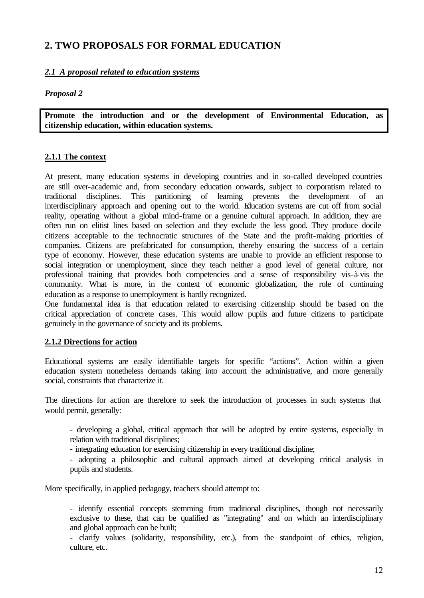# **2. TWO PROPOSALS FOR FORMAL EDUCATION**

## *2.1 A proposal related to education systems*

## *Proposal 2*

**Promote the introduction and or the development of Environmental Education, as citizenship education, within education systems.**

## **2.1.1 The context**

At present, many education systems in developing countries and in so-called developed countries are still over-academic and, from secondary education onwards, subject to corporatism related to traditional disciplines. This partitioning of learning prevents the development of an interdisciplinary approach and opening out to the world. Education systems are cut off from social reality, operating without a global mind-frame or a genuine cultural approach. In addition, they are often run on elitist lines based on selection and they exclude the less good. They produce docile citizens acceptable to the technocratic structures of the State and the profit-making priorities of companies. Citizens are prefabricated for consumption, thereby ensuring the success of a certain type of economy. However, these education systems are unable to provide an efficient response to social integration or unemployment, since they teach neither a good level of general culture, nor professional training that provides both competencies and a sense of responsibility vis-à-vis the community. What is more, in the context of economic globalization, the role of continuing education as a response to unemployment is hardly recognized.

One fundamental idea is that education related to exercising citizenship should be based on the critical appreciation of concrete cases. This would allow pupils and future citizens to participate genuinely in the governance of society and its problems.

## **2.1.2 Directions for action**

Educational systems are easily identifiable targets for specific "actions". Action within a given education system nonetheless demands taking into account the administrative, and more generally social, constraints that characterize it.

The directions for action are therefore to seek the introduction of processes in such systems that would permit, generally:

- developing a global, critical approach that will be adopted by entire systems, especially in relation with traditional disciplines;
- integrating education for exercising citizenship in every traditional discipline;
- adopting a philosophic and cultural approach aimed at developing critical analysis in pupils and students.

More specifically, in applied pedagogy, teachers should attempt to:

- identify essential concepts stemming from traditional disciplines, though not necessarily exclusive to these, that can be qualified as "integrating" and on which an interdisciplinary and global approach can be built;

- clarify values (solidarity, responsibility, etc.), from the standpoint of ethics, religion, culture, etc.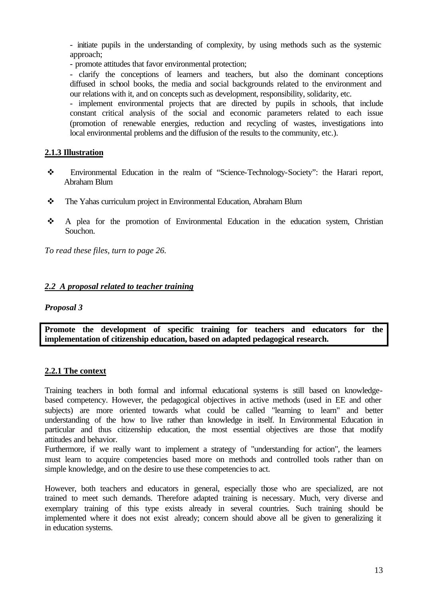- initiate pupils in the understanding of complexity, by using methods such as the systemic approach;

- promote attitudes that favor environmental protection;

- clarify the conceptions of learners and teachers, but also the dominant conceptions diffused in school books, the media and social backgrounds related to the environment and our relations with it, and on concepts such as development, responsibility, solidarity, etc.

- implement environmental projects that are directed by pupils in schools, that include constant critical analysis of the social and economic parameters related to each issue (promotion of renewable energies, reduction and recycling of wastes, investigations into local environmental problems and the diffusion of the results to the community, etc.).

## **2.1.3 Illustration**

- v Environmental Education in the realm of "Science-Technology-Society": the Harari report, Abraham Blum
- \* The Yahas curriculum project in Environmental Education, Abraham Blum
- v A plea for the promotion of Environmental Education in the education system, Christian Souchon.

*To read these files, turn to page 26.*

## *2.2 A proposal related to teacher training*

#### *Proposal 3*

**Promote the development of specific training for teachers and educators for the implementation of citizenship education, based on adapted pedagogical research.**

## **2.2.1 The context**

Training teachers in both formal and informal educational systems is still based on knowledgebased competency. However, the pedagogical objectives in active methods (used in EE and other subjects) are more oriented towards what could be called "learning to learn" and better understanding of the how to live rather than knowledge in itself. In Environmental Education in particular and thus citizenship education, the most essential objectives are those that modify attitudes and behavior.

Furthermore, if we really want to implement a strategy of "understanding for action", the learners must learn to acquire competencies based more on methods and controlled tools rather than on simple knowledge, and on the desire to use these competencies to act.

However, both teachers and educators in general, especially those who are specialized, are not trained to meet such demands. Therefore adapted training is necessary. Much, very diverse and exemplary training of this type exists already in several countries. Such training should be implemented where it does not exist already; concern should above all be given to generalizing it in education systems.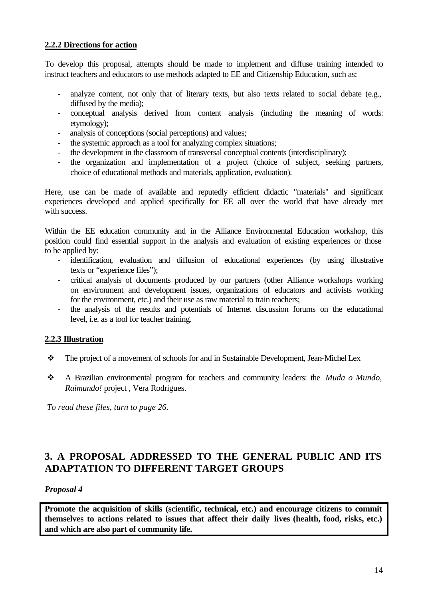## **2.2.2 Directions for action**

To develop this proposal, attempts should be made to implement and diffuse training intended to instruct teachers and educators to use methods adapted to EE and Citizenship Education, such as:

- analyze content, not only that of literary texts, but also texts related to social debate (e.g., diffused by the media);
- conceptual analysis derived from content analysis (including the meaning of words: etymology);
- analysis of conceptions (social perceptions) and values;
- the systemic approach as a tool for analyzing complex situations;
- the development in the classroom of transversal conceptual contents (interdisciplinary);
- the organization and implementation of a project (choice of subject, seeking partners, choice of educational methods and materials, application, evaluation).

Here, use can be made of available and reputedly efficient didactic "materials" and significant experiences developed and applied specifically for EE all over the world that have already met with success.

Within the EE education community and in the Alliance Environmental Education workshop, this position could find essential support in the analysis and evaluation of existing experiences or those to be applied by:

- identification, evaluation and diffusion of educational experiences (by using illustrative texts or "experience files");
- critical analysis of documents produced by our partners (other Alliance workshops working on environment and development issues, organizations of educators and activists working for the environment, etc.) and their use as raw material to train teachers;
- the analysis of the results and potentials of Internet discussion forums on the educational level, i.e. as a tool for teacher training.

## **2.2.3 Illustration**

- $\cdot \cdot$  The project of a movement of schools for and in Sustainable Development, Jean-Michel Lex
- v A Brazilian environmental program for teachers and community leaders: the *Muda o Mundo, Raimundo!* project , Vera Rodrigues.

*To read these files, turn to page 26.*

# **3. A PROPOSAL ADDRESSED TO THE GENERAL PUBLIC AND ITS ADAPTATION TO DIFFERENT TARGET GROUPS**

## *Proposal 4*

**Promote the acquisition of skills (scientific, technical, etc.) and encourage citizens to commit themselves to actions related to issues that affect their daily lives (health, food, risks, etc.) and which are also part of community life.**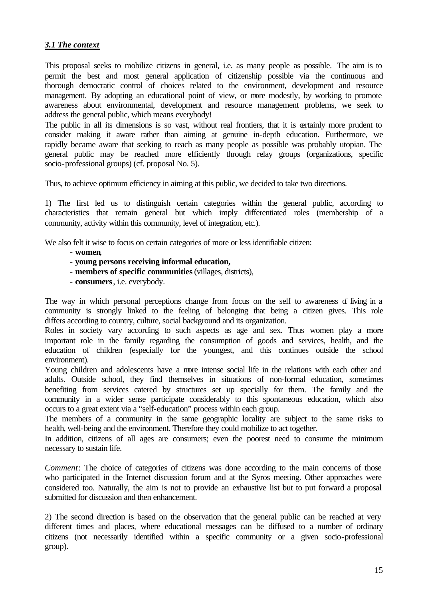## *3.1 The context*

This proposal seeks to mobilize citizens in general, i.e. as many people as possible. The aim is to permit the best and most general application of citizenship possible via the continuous and thorough democratic control of choices related to the environment, development and resource management. By adopting an educational point of view, or more modestly, by working to promote awareness about environmental, development and resource management problems, we seek to address the general public, which means everybody!

The public in all its dimensions is so vast, without real frontiers, that it is certainly more prudent to consider making it aware rather than aiming at genuine in-depth education. Furthermore, we rapidly became aware that seeking to reach as many people as possible was probably utopian. The general public may be reached more efficiently through relay groups (organizations, specific socio-professional groups) (cf. proposal No. 5).

Thus, to achieve optimum efficiency in aiming at this public, we decided to take two directions.

1) The first led us to distinguish certain categories within the general public, according to characteristics that remain general but which imply differentiated roles (membership of a community, activity within this community, level of integration, etc.).

We also felt it wise to focus on certain categories of more or less identifiable citizen:

- **women**,
- **young persons receiving informal education,**
- **members of specific communities** (villages, districts),
- **consumers**, i.e. everybody.

The way in which personal perceptions change from focus on the self to awareness of living in a community is strongly linked to the feeling of belonging that being a citizen gives. This role differs according to country, culture, social background and its organization.

Roles in society vary according to such aspects as age and sex. Thus women play a more important role in the family regarding the consumption of goods and services, health, and the education of children (especially for the youngest, and this continues outside the school environment).

Young children and adolescents have a more intense social life in the relations with each other and adults. Outside school, they find themselves in situations of non-formal education, sometimes benefiting from services catered by structures set up specially for them. The family and the community in a wider sense participate considerably to this spontaneous education, which also occurs to a great extent via a "self-education" process within each group.

The members of a community in the same geographic locality are subject to the same risks to health, well-being and the environment. Therefore they could mobilize to act together.

In addition, citizens of all ages are consumers; even the poorest need to consume the minimum necessary to sustain life.

*Comment*: The choice of categories of citizens was done according to the main concerns of those who participated in the Internet discussion forum and at the Syros meeting. Other approaches were considered too. Naturally, the aim is not to provide an exhaustive list but to put forward a proposal submitted for discussion and then enhancement.

2) The second direction is based on the observation that the general public can be reached at very different times and places, where educational messages can be diffused to a number of ordinary citizens (not necessarily identified within a specific community or a given socio-professional group).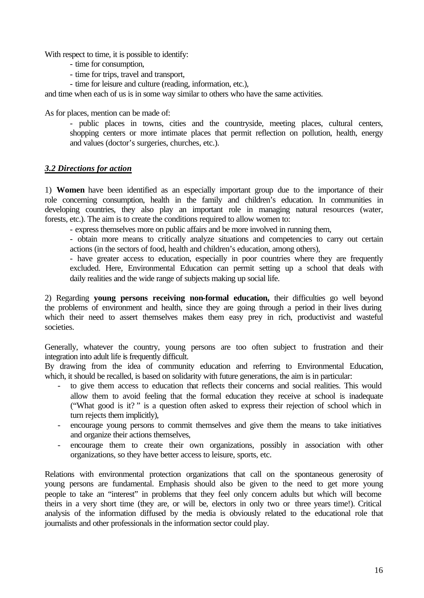With respect to time, it is possible to identify:

- time for consumption,
- time for trips, travel and transport,
- time for leisure and culture (reading, information, etc.),

and time when each of us is in some way similar to others who have the same activities.

As for places, mention can be made of:

- public places in towns, cities and the countryside, meeting places, cultural centers, shopping centers or more intimate places that permit reflection on pollution, health, energy and values (doctor's surgeries, churches, etc.).

### *3.2 Directions for action*

1) **Women** have been identified as an especially important group due to the importance of their role concerning consumption, health in the family and children's education. In communities in developing countries, they also play an important role in managing natural resources (water, forests, etc.). The aim is to create the conditions required to allow women to:

- express themselves more on public affairs and be more involved in running them,

- obtain more means to critically analyze situations and competencies to carry out certain actions (in the sectors of food, health and children's education, among others),

- have greater access to education, especially in poor countries where they are frequently excluded. Here, Environmental Education can permit setting up a school that deals with daily realities and the wide range of subjects making up social life.

2) Regarding **young persons receiving non-formal education,** their difficulties go well beyond the problems of environment and health, since they are going through a period in their lives during which their need to assert themselves makes them easy prey in rich, productivist and wasteful societies.

Generally, whatever the country, young persons are too often subject to frustration and their integration into adult life is frequently difficult.

By drawing from the idea of community education and referring to Environmental Education, which, it should be recalled, is based on solidarity with future generations, the aim is in particular:

- to give them access to education that reflects their concerns and social realities. This would allow them to avoid feeling that the formal education they receive at school is inadequate ("What good is it? " is a question often asked to express their rejection of school which in turn rejects them implicitly),
- encourage young persons to commit themselves and give them the means to take initiatives and organize their actions themselves,
- encourage them to create their own organizations, possibly in association with other organizations, so they have better access to leisure, sports, etc.

Relations with environmental protection organizations that call on the spontaneous generosity of young persons are fundamental. Emphasis should also be given to the need to get more young people to take an "interest" in problems that they feel only concern adults but which will become theirs in a very short time (they are, or will be, electors in only two or three years time!). Critical analysis of the information diffused by the media is obviously related to the educational role that journalists and other professionals in the information sector could play.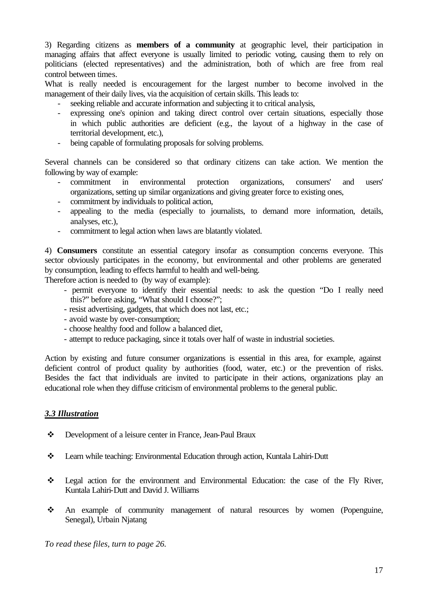3) Regarding citizens as **members of a community** at geographic level, their participation in managing affairs that affect everyone is usually limited to periodic voting, causing them to rely on politicians (elected representatives) and the administration, both of which are free from real control between times.

What is really needed is encouragement for the largest number to become involved in the management of their daily lives, via the acquisition of certain skills. This leads to:

- seeking reliable and accurate information and subjecting it to critical analysis,
- expressing one's opinion and taking direct control over certain situations, especially those in which public authorities are deficient (e.g., the layout of a highway in the case of territorial development, etc.),
- being capable of formulating proposals for solving problems.

Several channels can be considered so that ordinary citizens can take action. We mention the following by way of example:

- commitment in environmental protection organizations, consumers' and users' organizations, setting up similar organizations and giving greater force to existing ones,
- commitment by individuals to political action,
- appealing to the media (especially to journalists, to demand more information, details, analyses, etc.),
- commitment to legal action when laws are blatantly violated.

4) **Consumers** constitute an essential category insofar as consumption concerns everyone. This sector obviously participates in the economy, but environmental and other problems are generated by consumption, leading to effects harmful to health and well-being.

Therefore action is needed to (by way of example):

- permit everyone to identify their essential needs: to ask the question "Do I really need this?" before asking, "What should I choose?";
- resist advertising, gadgets, that which does not last, etc.;
- avoid waste by over-consumption;
- choose healthy food and follow a balanced diet,
- attempt to reduce packaging, since it totals over half of waste in industrial societies.

Action by existing and future consumer organizations is essential in this area, for example, against deficient control of product quality by authorities (food, water, etc.) or the prevention of risks. Besides the fact that individuals are invited to participate in their actions, organizations play an educational role when they diffuse criticism of environmental problems to the general public.

## *3.3 Illustration*

- \* Development of a leisure center in France, Jean-Paul Braux
- v Learn while teaching: Environmental Education through action, Kuntala Lahiri-Dutt
- $\div$  Legal action for the environment and Environmental Education: the case of the Fly River, Kuntala Lahiri-Dutt and David J. Williams
- v An example of community management of natural resources by women (Popenguine, Senegal), Urbain Njatang

*To read these files, turn to page 26.*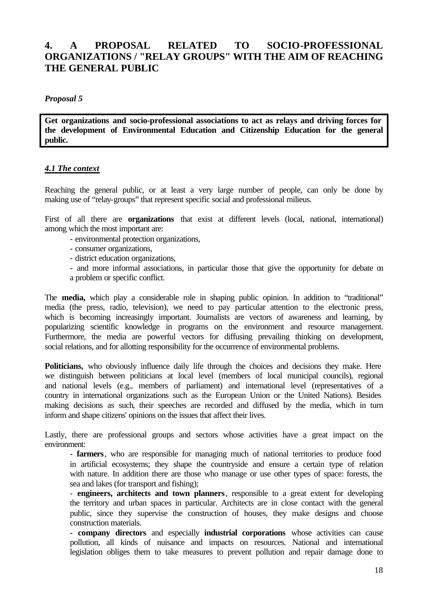# **4. A PROPOSAL RELATED TO SOCIO-PROFESSIONAL ORGANIZATIONS / "RELAY GROUPS" WITH THE AIM OF REACHING THE GENERAL PUBLIC**

### *Proposal 5*

**Get organizations and socio-professional associations to act as relays and driving forces for the development of Environmental Education and Citizenship Education for the general public.**

### *4.1 The context*

Reaching the general public, or at least a very large number of people, can only be done by making use of "relay-groups" that represent specific social and professional milieus.

First of all there are **organizations** that exist at different levels (local, national, international) among which the most important are:

- environmental protection organizations,
- consumer organizations,
- district education organizations,
- and more informal associations, in particular those that give the opportunity for debate on a problem or specific conflict.

The **media,** which play a considerable role in shaping public opinion. In addition to "traditional" media (the press, radio, television), we need to pay particular attention to the electronic press, which is becoming increasingly important. Journalists are vectors of awareness and learning, by popularizing scientific knowledge in programs on the environment and resource management. Furthermore, the media are powerful vectors for diffusing prevailing thinking on development, social relations, and for allotting responsibility for the occurrence of environmental problems.

Politicians, who obviously influence daily life through the choices and decisions they make. Here we distinguish between politicians at local level (members of local municipal councils), regional and national levels (e.g., members of parliament) and international level (representatives of a country in international organizations such as the European Union or the United Nations). Besides making decisions as such, their speeches are recorded and diffused by the media, which in turn inform and shape citizens' opinions on the issues that affect their lives.

Lastly, there are professional groups and sectors whose activities have a great impact on the environment:

**- farmers**, who are responsible for managing much of national territories to produce food in artificial ecosystems; they shape the countryside and ensure a certain type of relation with nature. In addition there are those who manage or use other types of space: forests, the sea and lakes (for transport and fishing);

- **engineers, architects and town planners**, responsible to a great extent for developing the territory and urban spaces in particular. Architects are in close contact with the general public, since they supervise the construction of houses, they make designs and choose construction materials.

**- company directors** and especially **industrial corporations** whose activities can cause pollution, all kinds of nuisance and impacts on resources. National and international legislation obliges them to take measures to prevent pollution and repair damage done to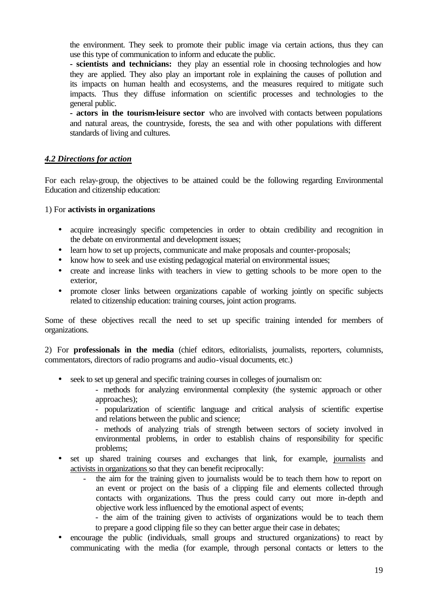the environment. They seek to promote their public image via certain actions, thus they can use this type of communication to inform and educate the public.

**- scientists and technicians:** they play an essential role in choosing technologies and how they are applied. They also play an important role in explaining the causes of pollution and its impacts on human health and ecosystems, and the measures required to mitigate such impacts. Thus they diffuse information on scientific processes and technologies to the general public.

**- actors in the tourism-leisure sector** who are involved with contacts between populations and natural areas, the countryside, forests, the sea and with other populations with different standards of living and cultures.

## *4.2 Directions for action*

For each relay-group, the objectives to be attained could be the following regarding Environmental Education and citizenship education:

1) For **activists in organizations** 

- acquire increasingly specific competencies in order to obtain credibility and recognition in the debate on environmental and development issues;
- learn how to set up projects, communicate and make proposals and counter-proposals;
- know how to seek and use existing pedagogical material on environmental issues;
- create and increase links with teachers in view to getting schools to be more open to the exterior,
- promote closer links between organizations capable of working jointly on specific subjects related to citizenship education: training courses, joint action programs.

Some of these objectives recall the need to set up specific training intended for members of organizations.

2) For **professionals in the media** (chief editors, editorialists, journalists, reporters, columnists, commentators, directors of radio programs and audio-visual documents, etc.)

- seek to set up general and specific training courses in colleges of journalism on:
	- methods for analyzing environmental complexity (the systemic approach or other approaches);

- popularization of scientific language and critical analysis of scientific expertise and relations between the public and science;

- methods of analyzing trials of strength between sectors of society involved in environmental problems, in order to establish chains of responsibility for specific problems;

- set up shared training courses and exchanges that link, for example, journalists and activists in organizations so that they can benefit reciprocally:
	- the aim for the training given to journalists would be to teach them how to report on an event or project on the basis of a clipping file and elements collected through contacts with organizations. Thus the press could carry out more in-depth and objective work less influenced by the emotional aspect of events;

- the aim of the training given to activists of organizations would be to teach them to prepare a good clipping file so they can better argue their case in debates;

• encourage the public (individuals, small groups and structured organizations) to react by communicating with the media (for example, through personal contacts or letters to the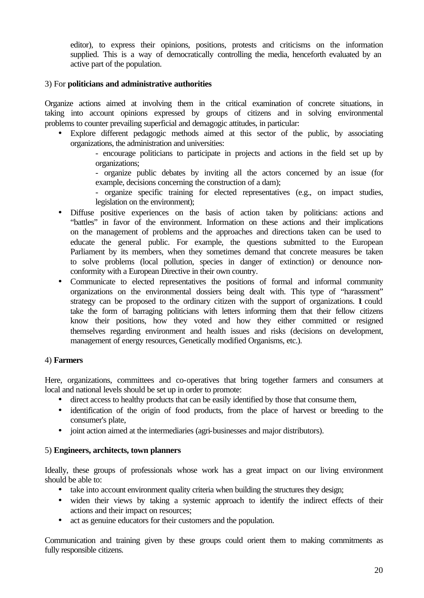editor), to express their opinions, positions, protests and criticisms on the information supplied. This is a way of democratically controlling the media, henceforth evaluated by an active part of the population.

### 3) For **politicians and administrative authorities**

Organize actions aimed at involving them in the critical examination of concrete situations, in taking into account opinions expressed by groups of citizens and in solving environmental problems to counter prevailing superficial and demagogic attitudes, in particular:

- Explore different pedagogic methods aimed at this sector of the public, by associating organizations, the administration and universities:
	- encourage politicians to participate in projects and actions in the field set up by organizations;

- organize public debates by inviting all the actors concerned by an issue (for example, decisions concerning the construction of a dam);

- organize specific training for elected representatives (e.g., on impact studies, legislation on the environment);
- Diffuse positive experiences on the basis of action taken by politicians: actions and "battles" in favor of the environment. Information on these actions and their implications on the management of problems and the approaches and directions taken can be used to educate the general public. For example, the questions submitted to the European Parliament by its members, when they sometimes demand that concrete measures be taken to solve problems (local pollution, species in danger of extinction) or denounce nonconformity with a European Directive in their own country.
- Communicate to elected representatives the positions of formal and informal community organizations on the environmental dossiers being dealt with. This type of "harassment" strategy can be proposed to the ordinary citizen with the support of organizations.  $\bf{l}$  could take the form of barraging politicians with letters informing them that their fellow citizens know their positions, how they voted and how they either committed or resigned themselves regarding environment and health issues and risks (decisions on development, management of energy resources, Genetically modified Organisms, etc.).

#### 4) **Farmers**

Here, organizations, committees and co-operatives that bring together farmers and consumers at local and national levels should be set up in order to promote:

- direct access to healthy products that can be easily identified by those that consume them,
- identification of the origin of food products, from the place of harvest or breeding to the consumer's plate,
- joint action aimed at the intermediaries (agri-businesses and major distributors).

#### 5) **Engineers, architects, town planners**

Ideally, these groups of professionals whose work has a great impact on our living environment should be able to:

- take into account environment quality criteria when building the structures they design;
- widen their views by taking a systemic approach to identify the indirect effects of their actions and their impact on resources;
- act as genuine educators for their customers and the population.

Communication and training given by these groups could orient them to making commitments as fully responsible citizens.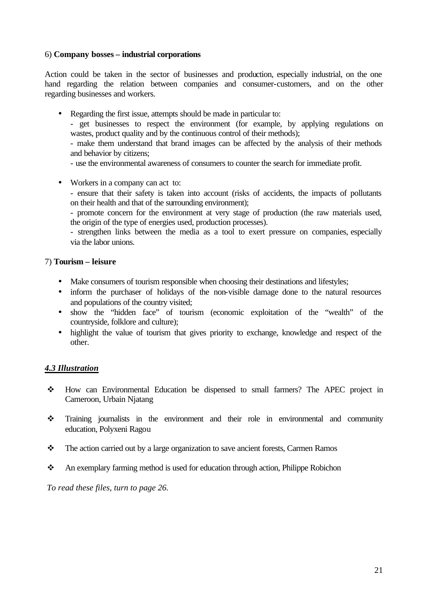### 6) **Company bosses – industrial corporations**

Action could be taken in the sector of businesses and production, especially industrial, on the one hand regarding the relation between companies and consumer-customers, and on the other regarding businesses and workers.

• Regarding the first issue, attempts should be made in particular to:

- get businesses to respect the environment (for example, by applying regulations on wastes, product quality and by the continuous control of their methods);

- make them understand that brand images can be affected by the analysis of their methods and behavior by citizens;

- use the environmental awareness of consumers to counter the search for immediate profit.

• Workers in a company can act to:

- ensure that their safety is taken into account (risks of accidents, the impacts of pollutants on their health and that of the surrounding environment);

- promote concern for the environment at very stage of production (the raw materials used, the origin of the type of energies used, production processes).

- strengthen links between the media as a tool to exert pressure on companies, especially via the labor unions.

### 7) **Tourism – leisure**

- Make consumers of tourism responsible when choosing their destinations and lifestyles;
- inform the purchaser of holidays of the non-visible damage done to the natural resources and populations of the country visited;
- show the "hidden face" of tourism (economic exploitation of the "wealth" of the countryside, folklore and culture);
- highlight the value of tourism that gives priority to exchange, knowledge and respect of the other.

## *4.3 Illustration*

- v How can Environmental Education be dispensed to small farmers? The APEC project in Cameroon, Urbain Njatang
- v Training journalists in the environment and their role in environmental and community education, Polyxeni Ragou
- $\mathbf{\hat{P}}$  The action carried out by a large organization to save ancient forests, Carmen Ramos
- \* An exemplary farming method is used for education through action, Philippe Robichon

*To read these files, turn to page 26.*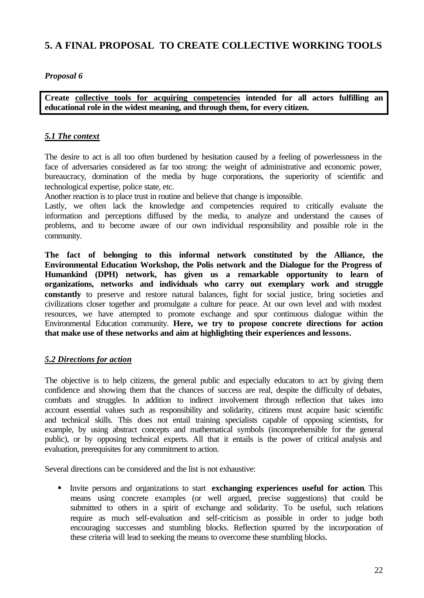# **5. A FINAL PROPOSAL TO CREATE COLLECTIVE WORKING TOOLS**

## *Proposal 6*

**Create collective tools for acquiring competencies intended for all actors fulfilling an educational role in the widest meaning, and through them, for every citizen.**

## *5.1 The context*

The desire to act is all too often burdened by hesitation caused by a feeling of powerlessness in the face of adversaries considered as far too strong: the weight of administrative and economic power, bureaucracy, domination of the media by huge corporations, the superiority of scientific and technological expertise, police state, etc.

Another reaction is to place trust in routine and believe that change is impossible.

Lastly, we often lack the knowledge and competencies required to critically evaluate the information and perceptions diffused by the media, to analyze and understand the causes of problems, and to become aware of our own individual responsibility and possible role in the community.

**The fact of belonging to this informal network constituted by the Alliance, the Environmental Education Workshop, the Polis network and the Dialogue for the Progress of Humankind (DPH) network, has given us a remarkable opportunity to learn of organizations, networks and individuals who carry out exemplary work and struggle constantly** to preserve and restore natural balances, fight for social justice, bring societies and civilizations closer together and promulgate a culture for peace. At our own level and with modest resources, we have attempted to promote exchange and spur continuous dialogue within the Environmental Education community. **Here, we try to propose concrete directions for action that make use of these networks and aim at highlighting their experiences and lessons.**

## *5.2 Directions for action*

The objective is to help citizens, the general public and especially educators to act by giving them confidence and showing them that the chances of success are real, despite the difficulty of debates, combats and struggles. In addition to indirect involvement through reflection that takes into account essential values such as responsibility and solidarity, citizens must acquire basic scientific and technical skills. This does not entail training specialists capable of opposing scientists, for example, by using abstract concepts and mathematical symbols (incomprehensible for the general public), or by opposing technical experts. All that it entails is the power of critical analysis and evaluation, prerequisites for any commitment to action.

Several directions can be considered and the list is not exhaustive:

**IDENT Invited persons and organizations to start exchanging experiences useful for action.** This means using concrete examples (or well argued, precise suggestions) that could be submitted to others in a spirit of exchange and solidarity. To be useful, such relations require as much self-evaluation and self-criticism as possible in order to judge both encouraging successes and stumbling blocks. Reflection spurred by the incorporation of these criteria will lead to seeking the means to overcome these stumbling blocks.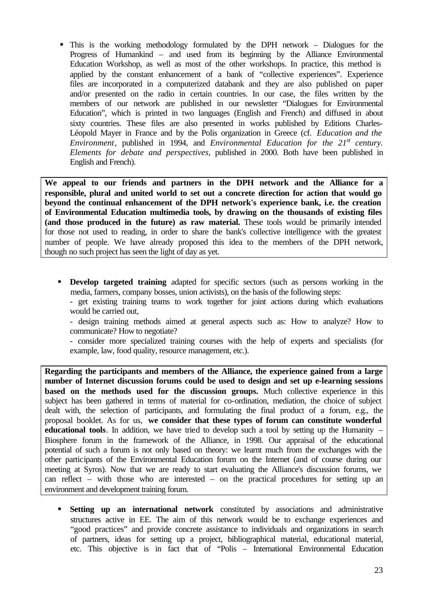ß This is the working methodology formulated by the DPH network – Dialogues for the Progress of Humankind – and used from its beginning by the Alliance Environmental Education Workshop, as well as most of the other workshops. In practice, this method is applied by the constant enhancement of a bank of "collective experiences". Experience files are incorporated in a computerized databank and they are also published on paper and/or presented on the radio in certain countries. In our case, the files written by the members of our network are published in our newsletter "Dialogues for Environmental Education", which is printed in two languages (English and French) and diffused in about sixty countries. These files are also presented in works published by Editions Charles-Léopold Mayer in France and by the Polis organization in Greece (cf. *Education and the Environment*, published in 1994, and *Environmental Education for the 21st century. Elements for debate and perspectives,* published in 2000. Both have been published in English and French).

**We appeal to our friends and partners in the DPH network and the Alliance for a responsible, plural and united world to set out a concrete direction for action that would go beyond the continual enhancement of the DPH network's experience bank, i.e. the creation of Environmental Education multimedia tools, by drawing on the thousands of existing files (and those produced in the future) as raw material.** These tools would be primarily intended for those not used to reading, in order to share the bank's collective intelligence with the greatest number of people. We have already proposed this idea to the members of the DPH network, though no such project has seen the light of day as yet.

**• Develop targeted training** adapted for specific sectors (such as persons working in the media, farmers, company bosses, union activists), on the basis of the following steps:

- get existing training teams to work together for joint actions during which evaluations would be carried out,

- design training methods aimed at general aspects such as: How to analyze? How to communicate? How to negotiate?

- consider more specialized training courses with the help of experts and specialists (for example, law, food quality, resource management, etc.).

**Regarding the participants and members of the Alliance, the experience gained from a large number of Internet discussion forums could be used to design and set up e-learning sessions based on the methods used for the discussion groups.** Much collective experience in this subject has been gathered in terms of material for co-ordination, mediation, the choice of subject dealt with, the selection of participants, and formulating the final product of a forum, e.g., the proposal booklet. As for us, **we consider that these types of forum can constitute wonderful educational tools**. In addition, we have tried to develop such a tool by setting up the Humanity – Biosphere forum in the framework of the Alliance, in 1998. Our appraisal of the educational potential of such a forum is not only based on theory: we learnt much from the exchanges with the other participants of the Environmental Education forum on the Internet (and of course during our meeting at Syros). Now that we are ready to start evaluating the Alliance's discussion forums, we can reflect – with those who are interested – on the practical procedures for setting up an environment and development training forum.

**Setting up an international network** constituted by associations and administrative structures active in EE. The aim of this network would be to exchange experiences and "good practices" and provide concrete assistance to individuals and organizations in search of partners, ideas for setting up a project, bibliographical material, educational material, etc. This objective is in fact that of "Polis – International Environmental Education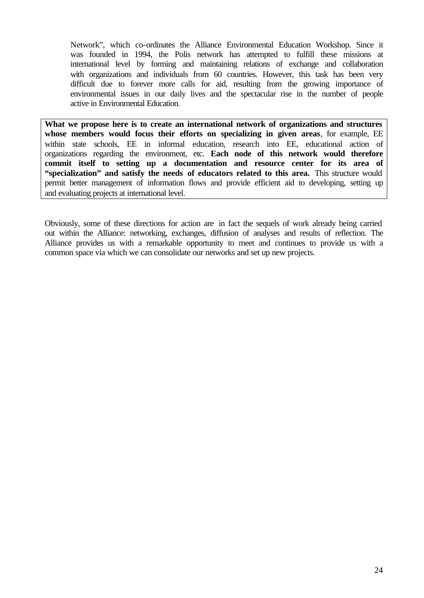Network", which co-ordinates the Alliance Environmental Education Workshop. Since it was founded in 1994, the Polis network has attempted to fulfill these missions at international level by forming and maintaining relations of exchange and collaboration with organizations and individuals from 60 countries. However, this task has been very difficult due to forever more calls for aid, resulting from the growing importance of environmental issues in our daily lives and the spectacular rise in the number of people active in Environmental Education.

**What we propose here is to create an international network of organizations and structures whose members would focus their efforts on specializing in given areas**, for example, EE within state schools, EE in informal education, research into EE, educational action of organizations regarding the environment, etc. **Each node of this network would therefore commit itself to setting up a documentation and resource center for its area of "specialization" and satisfy the needs of educators related to this area.** This structure would permit better management of information flows and provide efficient aid to developing, setting up and evaluating projects at international level.

Obviously, some of these directions for action are in fact the sequels of work already being carried out within the Alliance: networking, exchanges, diffusion of analyses and results of reflection. The Alliance provides us with a remarkable opportunity to meet and continues to provide us with a common space via which we can consolidate our networks and set up new projects.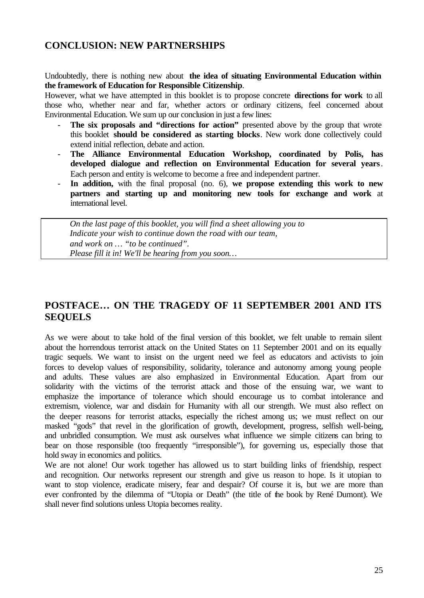# **CONCLUSION: NEW PARTNERSHIPS**

Undoubtedly, there is nothing new about **the idea of situating Environmental Education within the framework of Education for Responsible Citizenship**.

However, what we have attempted in this booklet is to propose concrete **directions for work** to all those who, whether near and far, whether actors or ordinary citizens, feel concerned about Environmental Education. We sum up our conclusion in just a few lines:

- The six proposals and "directions for action" presented above by the group that wrote this booklet **should be considered as starting blocks**. New work done collectively could extend initial reflection, debate and action.
- The Alliance Environmental Education Workshop, coordinated by Polis, has **developed dialogue and reflection on Environmental Education for several years**. Each person and entity is welcome to become a free and independent partner.
- **In addition,** with the final proposal (no. 6), **we propose extending this work to new partners and starting up and monitoring new tools for exchange and work** at international level.

*On the last page of this booklet, you will find a sheet allowing you to Indicate your wish to continue down the road with our team, and work on … "to be continued". Please fill it in! We'll be hearing from you soon…* 

# **POSTFACE… ON THE TRAGEDY OF 11 SEPTEMBER 2001 AND ITS SEQUELS**

As we were about to take hold of the final version of this booklet, we felt unable to remain silent about the horrendous terrorist attack on the United States on 11 September 2001 and on its equally tragic sequels. We want to insist on the urgent need we feel as educators and activists to join forces to develop values of responsibility, solidarity, tolerance and autonomy among young people and adults. These values are also emphasized in Environmental Education. Apart from our solidarity with the victims of the terrorist attack and those of the ensuing war, we want to emphasize the importance of tolerance which should encourage us to combat intolerance and extremism, violence, war and disdain for Humanity with all our strength. We must also reflect on the deeper reasons for terrorist attacks, especially the richest among us; we must reflect on our masked "gods" that revel in the glorification of growth, development, progress, selfish well-being, and unbridled consumption. We must ask ourselves what influence we simple citizens can bring to bear on those responsible (too frequently "irresponsible"), for governing us, especially those that hold sway in economics and politics.

We are not alone! Our work together has allowed us to start building links of friendship, respect and recognition. Our networks represent our strength and give us reason to hope. Is it utopian to want to stop violence, eradicate misery, fear and despair? Of course it is, but we are more than ever confronted by the dilemma of "Utopia or Death" (the title of the book by René Dumont). We shall never find solutions unless Utopia becomes reality.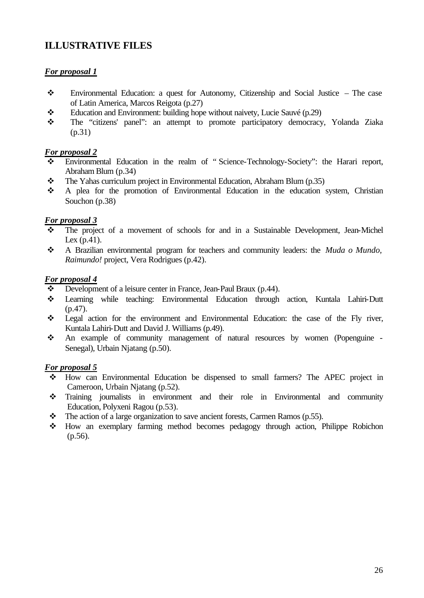# **ILLUSTRATIVE FILES**

## *For proposal 1*

- v Environmental Education: a quest for Autonomy, Citizenship and Social Justice The case of Latin America, Marcos Reigota (p.27)
- $\div$  Education and Environment: building hope without naivety, Lucie Sauvé (p.29)
- v The "citizens' panel": an attempt to promote participatory democracy, Yolanda Ziaka (p.31)

## *For proposal 2*

- Environmental Education in the realm of "Science-Technology-Society": the Harari report, Abraham Blum (p.34)
- \* The Yahas curriculum project in Environmental Education, Abraham Blum (p.35)
- v A plea for the promotion of Environmental Education in the education system, Christian Souchon (p.38)

## *For proposal 3*

- The project of a movement of schools for and in a Sustainable Development, Jean-Michel Lex (p.41).
- v A Brazilian environmental program for teachers and community leaders: the *Muda o Mundo, Raimundo!* project, Vera Rodrigues (p.42).

## *For proposal 4*

- $\bullet$  Development of a leisure center in France, Jean-Paul Braux (p.44).
- v Learning while teaching: Environmental Education through action, Kuntala Lahiri-Dutt  $(p.47)$ .
- v Legal action for the environment and Environmental Education: the case of the Fly river, Kuntala Lahiri-Dutt and David J. Williams (p.49).
- v An example of community management of natural resources by women (Popenguine Senegal), Urbain Njatang (p.50).

## *For proposal 5*

- v How can Environmental Education be dispensed to small farmers? The APEC project in Cameroon, Urbain Njatang (p.52).
- v Training journalists in environment and their role in Environmental and community Education, Polyxeni Ragou (p.53).
- $\div$  The action of a large organization to save ancient forests, Carmen Ramos (p.55).
- v How an exemplary farming method becomes pedagogy through action, Philippe Robichon (p.56).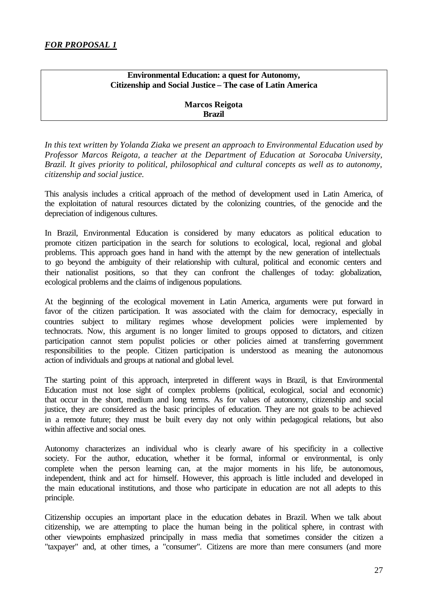## **Environmental Education: a quest for Autonomy, Citizenship and Social Justice – The case of Latin America**

**Marcos Reigota Brazil**

*In this text written by Yolanda Ziaka we present an approach to Environmental Education used by Professor Marcos Reigota, a teacher at the Department of Education at Sorocaba University, Brazil. It gives priority to political, philosophical and cultural concepts as well as to autonomy, citizenship and social justice.*

This analysis includes a critical approach of the method of development used in Latin America, of the exploitation of natural resources dictated by the colonizing countries, of the genocide and the depreciation of indigenous cultures.

In Brazil, Environmental Education is considered by many educators as political education to promote citizen participation in the search for solutions to ecological, local, regional and global problems. This approach goes hand in hand with the attempt by the new generation of intellectuals to go beyond the ambiguity of their relationship with cultural, political and economic centers and their nationalist positions, so that they can confront the challenges of today: globalization, ecological problems and the claims of indigenous populations.

At the beginning of the ecological movement in Latin America, arguments were put forward in favor of the citizen participation. It was associated with the claim for democracy, especially in countries subject to military regimes whose development policies were implemented by technocrats. Now, this argument is no longer limited to groups opposed to dictators, and citizen participation cannot stem populist policies or other policies aimed at transferring government responsibilities to the people. Citizen participation is understood as meaning the autonomous action of individuals and groups at national and global level.

The starting point of this approach, interpreted in different ways in Brazil, is that Environmental Education must not lose sight of complex problems (political, ecological, social and economic) that occur in the short, medium and long terms. As for values of autonomy, citizenship and social justice, they are considered as the basic principles of education. They are not goals to be achieved in a remote future; they must be built every day not only within pedagogical relations, but also within affective and social ones.

Autonomy characterizes an individual who is clearly aware of his specificity in a collective society. For the author, education, whether it be formal, informal or environmental, is only complete when the person learning can, at the major moments in his life, be autonomous, independent, think and act for himself. However, this approach is little included and developed in the main educational institutions, and those who participate in education are not all adepts to this principle.

Citizenship occupies an important place in the education debates in Brazil. When we talk about citizenship, we are attempting to place the human being in the political sphere, in contrast with other viewpoints emphasized principally in mass media that sometimes consider the citizen a "taxpayer" and, at other times, a "consumer". Citizens are more than mere consumers (and more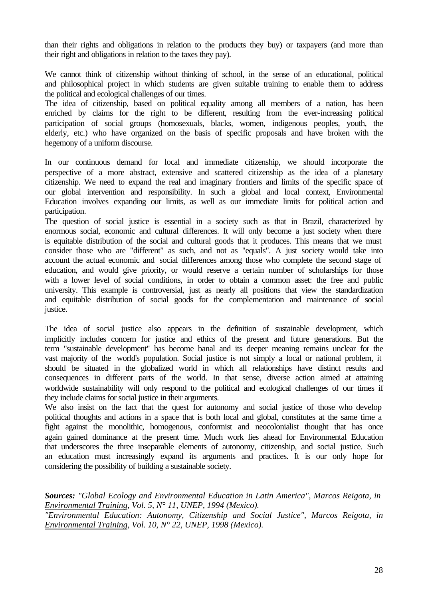than their rights and obligations in relation to the products they buy) or taxpayers (and more than their right and obligations in relation to the taxes they pay).

We cannot think of citizenship without thinking of school, in the sense of an educational, political and philosophical project in which students are given suitable training to enable them to address the political and ecological challenges of our times.

The idea of citizenship, based on political equality among all members of a nation, has been enriched by claims for the right to be different, resulting from the ever-increasing political participation of social groups (homosexuals, blacks, women, indigenous peoples, youth, the elderly, etc.) who have organized on the basis of specific proposals and have broken with the hegemony of a uniform discourse.

In our continuous demand for local and immediate citizenship, we should incorporate the perspective of a more abstract, extensive and scattered citizenship as the idea of a planetary citizenship. We need to expand the real and imaginary frontiers and limits of the specific space of our global intervention and responsibility. In such a global and local context, Environmental Education involves expanding our limits, as well as our immediate limits for political action and participation.

The question of social justice is essential in a society such as that in Brazil, characterized by enormous social, economic and cultural differences. It will only become a just society when there is equitable distribution of the social and cultural goods that it produces. This means that we must consider those who are "different" as such, and not as "equals". A just society would take into account the actual economic and social differences among those who complete the second stage of education, and would give priority, or would reserve a certain number of scholarships for those with a lower level of social conditions, in order to obtain a common asset: the free and public university. This example is controversial, just as nearly all positions that view the standardization and equitable distribution of social goods for the complementation and maintenance of social justice.

The idea of social justice also appears in the definition of sustainable development, which implicitly includes concern for justice and ethics of the present and future generations. But the term "sustainable development" has become banal and its deeper meaning remains unclear for the vast majority of the world's population. Social justice is not simply a local or national problem, it should be situated in the globalized world in which all relationships have distinct results and consequences in different parts of the world. In that sense, diverse action aimed at attaining worldwide sustainability will only respond to the political and ecological challenges of our times if they include claims for social justice in their arguments.

We also insist on the fact that the quest for autonomy and social justice of those who develop political thoughts and actions in a space that is both local and global, constitutes at the same time a fight against the monolithic, homogenous, conformist and neocolonialist thought that has once again gained dominance at the present time. Much work lies ahead for Environmental Education that underscores the three inseparable elements of autonomy, citizenship, and social justice. Such an education must increasingly expand its arguments and practices. It is our only hope for considering the possibility of building a sustainable society.

*Sources: "Global Ecology and Environmental Education in Latin America", Marcos Reigota, in Environmental Training, Vol. 5, N° 11, UNEP, 1994 (Mexico).*

*"Environmental Education: Autonomy, Citizenship and Social Justice", Marcos Reigota, in Environmental Training, Vol. 10, N° 22, UNEP, 1998 (Mexico).*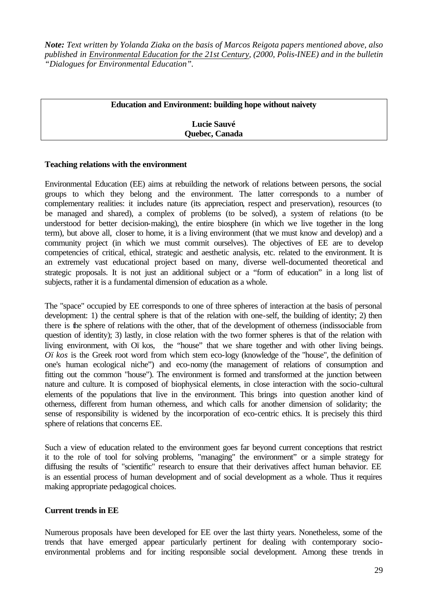*Note: Text written by Yolanda Ziaka on the basis of Marcos Reigota papers mentioned above, also published in Environmental Education for the 21st Century, (2000, Polis-INEE) and in the bulletin "Dialogues for Environmental Education".* 

| <b>Education and Environment: building hope without naivety</b> |
|-----------------------------------------------------------------|
|                                                                 |
| <b>Lucie Sauvé</b>                                              |
|                                                                 |
| Quebec, Canada                                                  |

#### **Teaching relations with the environment**

Environmental Education (EE) aims at rebuilding the network of relations between persons, the social groups to which they belong and the environment. The latter corresponds to a number of complementary realities: it includes nature (its appreciation, respect and preservation), resources (to be managed and shared), a complex of problems (to be solved), a system of relations (to be understood for better decision-making), the entire biosphere (in which we live together in the long term), but above all, closer to home, it is a living environment (that we must know and develop) and a community project (in which we must commit ourselves). The objectives of EE are to develop competencies of critical, ethical, strategic and aesthetic analysis, etc. related to the environment. It is an extremely vast educational project based on many, diverse well-documented theoretical and strategic proposals. It is not just an additional subject or a "form of education" in a long list of subjects, rather it is a fundamental dimension of education as a whole.

The "space" occupied by EE corresponds to one of three spheres of interaction at the basis of personal development: 1) the central sphere is that of the relation with one-self, the building of identity; 2) then there is the sphere of relations with the other, that of the development of otherness (indissociable from question of identity); 3) lastly, in close relation with the two former spheres is that of the relation with living environment, with Oïkos, the "house" that we share together and with other living beings. *Oïkos* is the Greek root word from which stem eco-logy (knowledge of the "house", the definition of one's human ecological niche") and eco-nomy (the management of relations of consumption and fitting out the common "house"). The environment is formed and transformed at the junction between nature and culture. It is composed of biophysical elements, in close interaction with the socio-cultural elements of the populations that live in the environment. This brings into question another kind of otherness, different from human otherness, and which calls for another dimension of solidarity; the sense of responsibility is widened by the incorporation of eco-centric ethics. It is precisely this third sphere of relations that concerns EE.

Such a view of education related to the environment goes far beyond current conceptions that restrict it to the role of tool for solving problems, "managing" the environment" or a simple strategy for diffusing the results of "scientific" research to ensure that their derivatives affect human behavior. EE is an essential process of human development and of social development as a whole. Thus it requires making appropriate pedagogical choices.

## **Current trends in EE**

Numerous proposals have been developed for EE over the last thirty years. Nonetheless, some of the trends that have emerged appear particularly pertinent for dealing with contemporary socioenvironmental problems and for inciting responsible social development. Among these trends in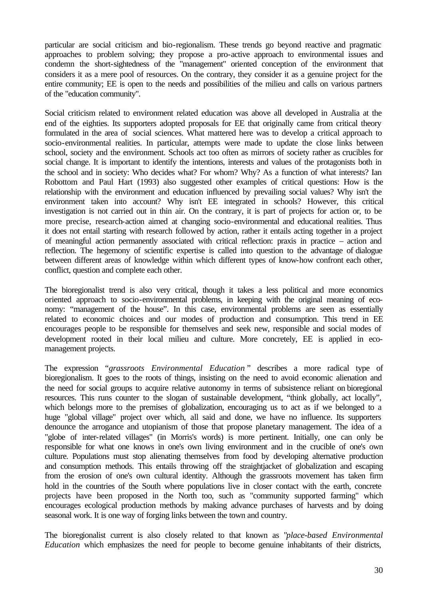particular are social criticism and bio-regionalism. These trends go beyond reactive and pragmatic approaches to problem solving; they propose a pro-active approach to environmental issues and condemn the short-sightedness of the "management" oriented conception of the environment that considers it as a mere pool of resources. On the contrary, they consider it as a genuine project for the entire community; EE is open to the needs and possibilities of the milieu and calls on various partners of the "education community".

Social criticism related to environment related education was above all developed in Australia at the end of the eighties. Its supporters adopted proposals for EE that originally came from critical theory formulated in the area of social sciences. What mattered here was to develop a critical approach to socio-environmental realities. In particular, attempts were made to update the close links between school, society and the environment. Schools act too often as mirrors of society rather as crucibles for social change. It is important to identify the intentions, interests and values of the protagonists both in the school and in society: Who decides what? For whom? Why? As a function of what interests? Ian Robottom and Paul Hart (1993) also suggested other examples of critical questions: How is the relationship with the environment and education influenced by prevailing social values? Why isn't the environment taken into account? Why isn't EE integrated in schools? However, this critical investigation is not carried out in thin air. On the contrary, it is part of projects for action or, to be more precise, research-action aimed at changing socio-environmental and educational realities. Thus it does not entail starting with research followed by action, rather it entails acting together in a project of meaningful action permanently associated with critical reflection: praxis in practice – action and reflection. The hegemony of scientific expertise is called into question to the advantage of dialogue between different areas of knowledge within which different types of know-how confront each other, conflict, question and complete each other.

The bioregionalist trend is also very critical, though it takes a less political and more economics oriented approach to socio-environmental problems, in keeping with the original meaning of economy: "management of the house". In this case, environmental problems are seen as essentially related to economic choices and our modes of production and consumption. This trend in EE encourages people to be responsible for themselves and seek new, responsible and social modes of development rooted in their local milieu and culture. More concretely, EE is applied in ecomanagement projects.

The expression "*grassroots Environmental Education* " describes a more radical type of bioregionalism. It goes to the roots of things, insisting on the need to avoid economic alienation and the need for social groups to acquire relative autonomy in terms of subsistence reliant on bioregional resources. This runs counter to the slogan of sustainable development, "think globally, act locally", which belongs more to the premises of globalization, encouraging us to act as if we belonged to a huge "global village" project over which, all said and done, we have no influence. Its supporters denounce the arrogance and utopianism of those that propose planetary management. The idea of a "globe of inter-related villages" (in Morris's words) is more pertinent. Initially, one can only be responsible for what one knows in one's own living environment and in the crucible of one's own culture. Populations must stop alienating themselves from food by developing alternative production and consumption methods. This entails throwing off the straightjacket of globalization and escaping from the erosion of one's own cultural identity. Although the grassroots movement has taken firm hold in the countries of the South where populations live in closer contact with the earth, concrete projects have been proposed in the North too, such as "community supported farming" which encourages ecological production methods by making advance purchases of harvests and by doing seasonal work. It is one way of forging links between the town and country.

The bioregionalist current is also closely related to that known as "*place-based Environmental Education* which emphasizes the need for people to become genuine inhabitants of their districts,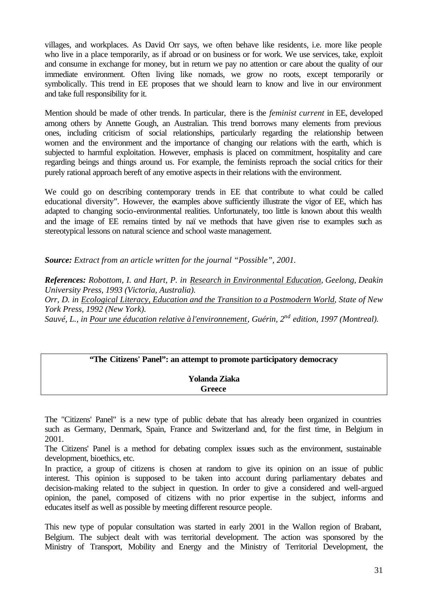villages, and workplaces. As David Orr says, we often behave like residents, i.e. more like people who live in a place temporarily, as if abroad or on business or for work. We use services, take, exploit and consume in exchange for money, but in return we pay no attention or care about the quality of our immediate environment. Often living like nomads, we grow no roots, except temporarily or symbolically. This trend in EE proposes that we should learn to know and live in our environment and take full responsibility for it.

Mention should be made of other trends. In particular, there is the *feminist current* in EE, developed among others by Annette Gough, an Australian. This trend borrows many elements from previous ones, including criticism of social relationships, particularly regarding the relationship between women and the environment and the importance of changing our relations with the earth, which is subjected to harmful exploitation. However, emphasis is placed on commitment, hospitality and care regarding beings and things around us. For example, the feminists reproach the social critics for their purely rational approach bereft of any emotive aspects in their relations with the environment.

We could go on describing contemporary trends in EE that contribute to what could be called educational diversity". However, the examples above sufficiently illustrate the vigor of EE, which has adapted to changing socio-environmental realities. Unfortunately, too little is known about this wealth and the image of EE remains tinted by naïve methods that have given rise to examples such as stereotypical lessons on natural science and school waste management.

*Source: Extract from an article written for the journal "Possible", 2001.*

*References: Robottom, I. and Hart, P. in Research in Environmental Education, Geelong, Deakin University Press, 1993 (Victoria, Australia).*

*Orr, D. in Ecological Literacy, Education and the Transition to a Postmodern World, State of New York Press, 1992 (New York).*

*Sauvé, L., in Pour une éducation relative à l'environnement, Guérin, 2nd edition, 1997 (Montreal).*

## **"The Citizens' Panel": an attempt to promote participatory democracy**

**Yolanda Ziaka Greece**

The "Citizens' Panel" is a new type of public debate that has already been organized in countries such as Germany, Denmark, Spain, France and Switzerland and, for the first time, in Belgium in 2001.

The Citizens' Panel is a method for debating complex issues such as the environment, sustainable development, bioethics, etc.

In practice, a group of citizens is chosen at random to give its opinion on an issue of public interest. This opinion is supposed to be taken into account during parliamentary debates and decision-making related to the subject in question. In order to give a considered and well-argued opinion, the panel, composed of citizens with no prior expertise in the subject, informs and educates itself as well as possible by meeting different resource people.

This new type of popular consultation was started in early 2001 in the Wallon region of Brabant, Belgium. The subject dealt with was territorial development. The action was sponsored by the Ministry of Transport, Mobility and Energy and the Ministry of Territorial Development, the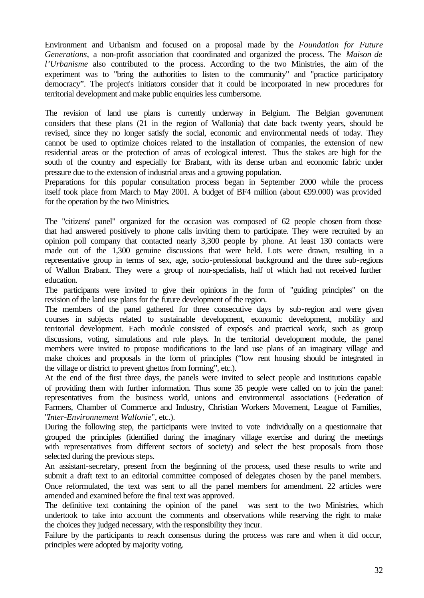Environment and Urbanism and focused on a proposal made by the *Foundation for Future Generations*, a non-profit association that coordinated and organized the process. The *Maison de l'Urbanisme* also contributed to the process. According to the two Ministries, the aim of the experiment was to "bring the authorities to listen to the community" and "practice participatory democracy". The project's initiators consider that it could be incorporated in new procedures for territorial development and make public enquiries less cumbersome.

The revision of land use plans is currently underway in Belgium. The Belgian government considers that these plans (21 in the region of Wallonia) that date back twenty years, should be revised, since they no longer satisfy the social, economic and environmental needs of today. They cannot be used to optimize choices related to the installation of companies, the extension of new residential areas or the protection of areas of ecological interest. Thus the stakes are high for the south of the country and especially for Brabant, with its dense urban and economic fabric under pressure due to the extension of industrial areas and a growing population.

Preparations for this popular consultation process began in September 2000 while the process itself took place from March to May 2001. A budget of BF4 million (about  $\Theta$ 9.000) was provided for the operation by the two Ministries.

The "citizens' panel" organized for the occasion was composed of 62 people chosen from those that had answered positively to phone calls inviting them to participate. They were recruited by an opinion poll company that contacted nearly 3,300 people by phone. At least 130 contacts were made out of the 1,300 genuine discussions that were held. Lots were drawn, resulting in a representative group in terms of sex, age, socio-professional background and the three sub-regions of Wallon Brabant. They were a group of non-specialists, half of which had not received further education.

The participants were invited to give their opinions in the form of "guiding principles" on the revision of the land use plans for the future development of the region.

The members of the panel gathered for three consecutive days by sub-region and were given courses in subjects related to sustainable development, economic development, mobility and territorial development. Each module consisted of exposés and practical work, such as group discussions, voting, simulations and role plays. In the territorial development module, the panel members were invited to propose modifications to the land use plans of an imaginary village and make choices and proposals in the form of principles ("low rent housing should be integrated in the village or district to prevent ghettos from forming", etc.).

At the end of the first three days, the panels were invited to select people and institutions capable of providing them with further information. Thus some 35 people were called on to join the panel: representatives from the business world, unions and environmental associations (Federation of Farmers, Chamber of Commerce and Industry, Christian Workers Movement, League of Families, "*Inter-Environnement Wallonie*", etc.).

During the following step, the participants were invited to vote individually on a questionnaire that grouped the principles (identified during the imaginary village exercise and during the meetings with representatives from different sectors of society) and select the best proposals from those selected during the previous steps.

An assistant-secretary, present from the beginning of the process, used these results to write and submit a draft text to an editorial committee composed of delegates chosen by the panel members. Once reformulated, the text was sent to all the panel members for amendment. 22 articles were amended and examined before the final text was approved.

The definitive text containing the opinion of the panel was sent to the two Ministries, which undertook to take into account the comments and observations while reserving the right to make the choices they judged necessary, with the responsibility they incur.

Failure by the participants to reach consensus during the process was rare and when it did occur, principles were adopted by majority voting.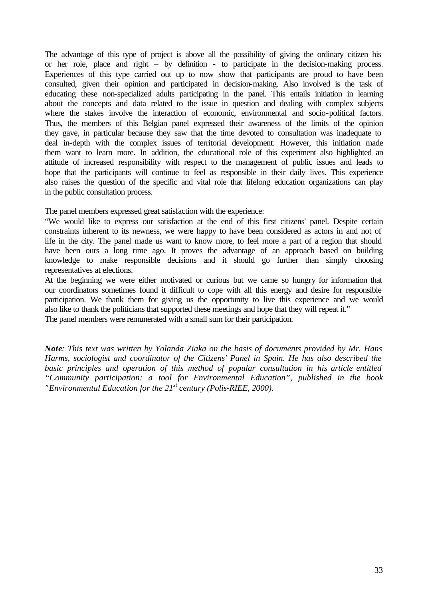The advantage of this type of project is above all the possibility of giving the ordinary citizen his or her role, place and right – by definition - to participate in the decision-making process. Experiences of this type carried out up to now show that participants are proud to have been consulted, given their opinion and participated in decision-making. Also involved is the task of educating these non-specialized adults participating in the panel. This entails initiation in learning about the concepts and data related to the issue in question and dealing with complex subjects where the stakes involve the interaction of economic, environmental and socio-political factors. Thus, the members of this Belgian panel expressed their awareness of the limits of the opinion they gave, in particular because they saw that the time devoted to consultation was inadequate to deal in-depth with the complex issues of territorial development. However, this initiation made them want to learn more. In addition, the educational role of this experiment also highlighted an attitude of increased responsibility with respect to the management of public issues and leads to hope that the participants will continue to feel as responsible in their daily lives. This experience also raises the question of the specific and vital role that lifelong education organizations can play in the public consultation process.

The panel members expressed great satisfaction with the experience:

"We would like to express our satisfaction at the end of this first citizens' panel. Despite certain constraints inherent to its newness, we were happy to have been considered as actors in and not of life in the city. The panel made us want to know more, to feel more a part of a region that should have been ours a long time ago. It proves the advantage of an approach based on building knowledge to make responsible decisions and it should go further than simply choosing representatives at elections.

At the beginning we were either motivated or curious but we came so hungry for information that our coordinators sometimes found it difficult to cope with all this energy and desire for responsible participation. We thank them for giving us the opportunity to live this experience and we would also like to thank the politicians that supported these meetings and hope that they will repeat it." The panel members were remunerated with a small sum for their participation.

*Note: This text was written by Yolanda Ziaka on the basis of documents provided by Mr. Hans Harms, sociologist and coordinator of the Citizens' Panel in Spain. He has also described the*  basic principles and operation of this method of popular consultation in his article entitled *"Community participation: a tool for Environmental Education", published in the book "Environmental Education for the 21st century (Polis-RIEE, 2000).*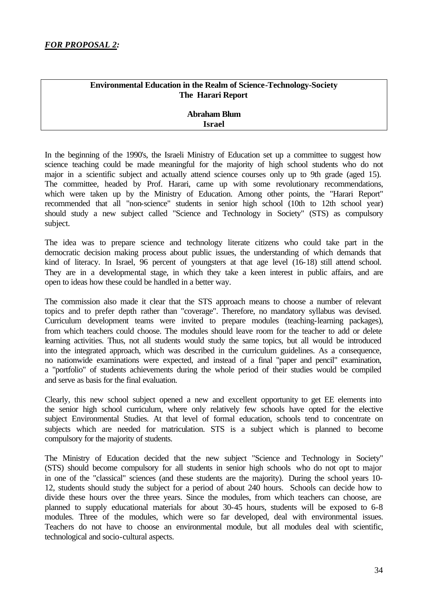## **Environmental Education in the Realm of Science-Technology-Society The Harari Report**

## **Abraham Blum Israel**

In the beginning of the 1990's, the Israeli Ministry of Education set up a committee to suggest how science teaching could be made meaningful for the majority of high school students who do not major in a scientific subject and actually attend science courses only up to 9th grade (aged 15). The committee, headed by Prof. Harari, came up with some revolutionary recommendations, which were taken up by the Ministry of Education. Among other points, the "Harari Report" recommended that all "non-science" students in senior high school (10th to 12th school year) should study a new subject called "Science and Technology in Society" (STS) as compulsory subject.

The idea was to prepare science and technology literate citizens who could take part in the democratic decision making process about public issues, the understanding of which demands that kind of literacy. In Israel, 96 percent of youngsters at that age level (16-18) still attend school. They are in a developmental stage, in which they take a keen interest in public affairs, and are open to ideas how these could be handled in a better way.

The commission also made it clear that the STS approach means to choose a number of relevant topics and to prefer depth rather than "coverage". Therefore, no mandatory syllabus was devised. Curriculum development teams were invited to prepare modules (teaching-learning packages), from which teachers could choose. The modules should leave room for the teacher to add or delete learning activities. Thus, not all students would study the same topics, but all would be introduced into the integrated approach, which was described in the curriculum guidelines. As a consequence, no nationwide examinations were expected, and instead of a final "paper and pencil" examination, a "portfolio" of students achievements during the whole period of their studies would be compiled and serve as basis for the final evaluation.

Clearly, this new school subject opened a new and excellent opportunity to get EE elements into the senior high school curriculum, where only relatively few schools have opted for the elective subject Environmental Studies. At that level of formal education, schools tend to concentrate on subjects which are needed for matriculation. STS is a subject which is planned to become compulsory for the majority of students.

The Ministry of Education decided that the new subject "Science and Technology in Society" (STS) should become compulsory for all students in senior high schools who do not opt to major in one of the "classical" sciences (and these students are the majority). During the school years 10- 12, students should study the subject for a period of about 240 hours. Schools can decide how to divide these hours over the three years. Since the modules, from which teachers can choose, are planned to supply educational materials for about 30-45 hours, students will be exposed to 6-8 modules. Three of the modules, which were so far developed, deal with environmental issues. Teachers do not have to choose an environmental module, but all modules deal with scientific, technological and socio-cultural aspects.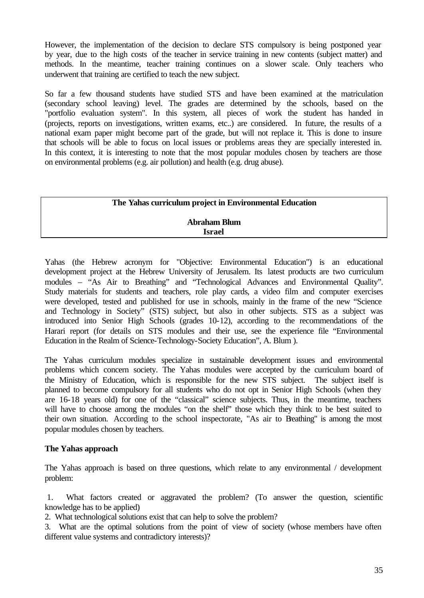However, the implementation of the decision to declare STS compulsory is being postponed year by year, due to the high costs of the teacher in service training in new contents (subject matter) and methods. In the meantime, teacher training continues on a slower scale. Only teachers who underwent that training are certified to teach the new subject.

So far a few thousand students have studied STS and have been examined at the matriculation (secondary school leaving) level. The grades are determined by the schools, based on the "portfolio evaluation system". In this system, all pieces of work the student has handed in (projects, reports on investigations, written exams, etc..) are considered. In future, the results of a national exam paper might become part of the grade, but will not replace it. This is done to insure that schools will be able to focus on local issues or problems areas they are specially interested in. In this context, it is interesting to note that the most popular modules chosen by teachers are those on environmental problems (e.g. air pollution) and health (e.g. drug abuse).

#### **The Yahas curriculum project in Environmental Education**

#### **Abraham Blum Israel**

Yahas (the Hebrew acronym for "Objective: Environmental Education") is an educational development project at the Hebrew University of Jerusalem. Its latest products are two curriculum modules – "As Air to Breathing" and "Technological Advances and Environmental Quality". Study materials for students and teachers, role play cards, a video film and computer exercises were developed, tested and published for use in schools, mainly in the frame of the new "Science and Technology in Society" (STS) subject, but also in other subjects. STS as a subject was introduced into Senior High Schools (grades 10-12), according to the recommendations of the Harari report (for details on STS modules and their use, see the experience file "Environmental Education in the Realm of Science-Technology-Society Education", A. Blum ).

The Yahas curriculum modules specialize in sustainable development issues and environmental problems which concern society. The Yahas modules were accepted by the curriculum board of the Ministry of Education, which is responsible for the new STS subject. The subject itself is planned to become compulsory for all students who do not opt in Senior High Schools (when they are 16-18 years old) for one of the "classical" science subjects. Thus, in the meantime, teachers will have to choose among the modules "on the shelf" those which they think to be best suited to their own situation. According to the school inspectorate, "As air to Breathing" is among the most popular modules chosen by teachers.

## **The Yahas approach**

The Yahas approach is based on three questions, which relate to any environmental / development problem:

 1. What factors created or aggravated the problem? (To answer the question, scientific knowledge has to be applied)

2. What technological solutions exist that can help to solve the problem?

3. What are the optimal solutions from the point of view of society (whose members have often different value systems and contradictory interests)?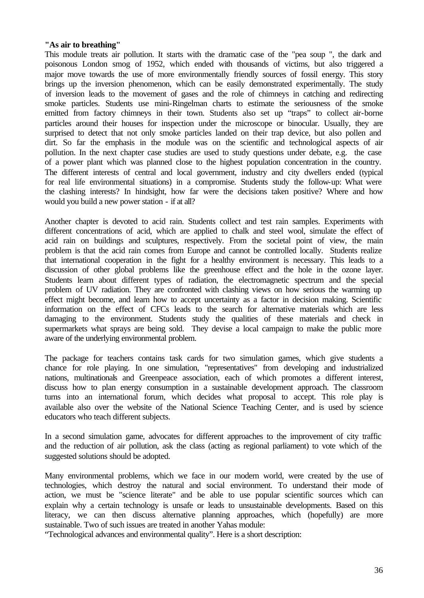#### **"As air to breathing"**

This module treats air pollution. It starts with the dramatic case of the "pea soup ", the dark and poisonous London smog of 1952, which ended with thousands of victims, but also triggered a major move towards the use of more environmentally friendly sources of fossil energy. This story brings up the inversion phenomenon, which can be easily demonstrated experimentally. The study of inversion leads to the movement of gases and the role of chimneys in catching and redirecting smoke particles. Students use mini-Ringelman charts to estimate the seriousness of the smoke emitted from factory chimneys in their town. Students also set up "traps" to collect air-borne particles around their houses for inspection under the microscope or binocular. Usually, they are surprised to detect that not only smoke particles landed on their trap device, but also pollen and dirt. So far the emphasis in the module was on the scientific and technological aspects of air pollution. In the next chapter case studies are used to study questions under debate, e.g. the case of a power plant which was planned close to the highest population concentration in the country. The different interests of central and local government, industry and city dwellers ended (typical for real life environmental situations) in a compromise. Students study the follow-up: What were the clashing interests? In hindsight, how far were the decisions taken positive? Where and how would you build a new power station - if at all?

Another chapter is devoted to acid rain. Students collect and test rain samples. Experiments with different concentrations of acid, which are applied to chalk and steel wool, simulate the effect of acid rain on buildings and sculptures, respectively. From the societal point of view, the main problem is that the acid rain comes from Europe and cannot be controlled locally. Students realize that international cooperation in the fight for a healthy environment is necessary. This leads to a discussion of other global problems like the greenhouse effect and the hole in the ozone layer. Students learn about different types of radiation, the electromagnetic spectrum and the special problem of UV radiation. They are confronted with clashing views on how serious the warming up effect might become, and learn how to accept uncertainty as a factor in decision making. Scientific information on the effect of CFCs leads to the search for alternative materials which are less damaging to the environment. Students study the qualities of these materials and check in supermarkets what sprays are being sold. They devise a local campaign to make the public more aware of the underlying environmental problem.

The package for teachers contains task cards for two simulation games, which give students a chance for role playing. In one simulation, "representatives" from developing and industrialized nations, multinationals and Greenpeace association, each of which promotes a different interest, discuss how to plan energy consumption in a sustainable development approach. The classroom turns into an international forum, which decides what proposal to accept. This role play is available also over the website of the National Science Teaching Center, and is used by science educators who teach different subjects.

In a second simulation game, advocates for different approaches to the improvement of city traffic and the reduction of air pollution, ask the class (acting as regional parliament) to vote which of the suggested solutions should be adopted.

Many environmental problems, which we face in our modern world, were created by the use of technologies, which destroy the natural and social environment. To understand their mode of action, we must be "science literate" and be able to use popular scientific sources which can explain why a certain technology is unsafe or leads to unsustainable developments. Based on this literacy, we can then discuss alternative planning approaches, which (hopefully) are more sustainable. Two of such issues are treated in another Yahas module:

"Technological advances and environmental quality". Here is a short description: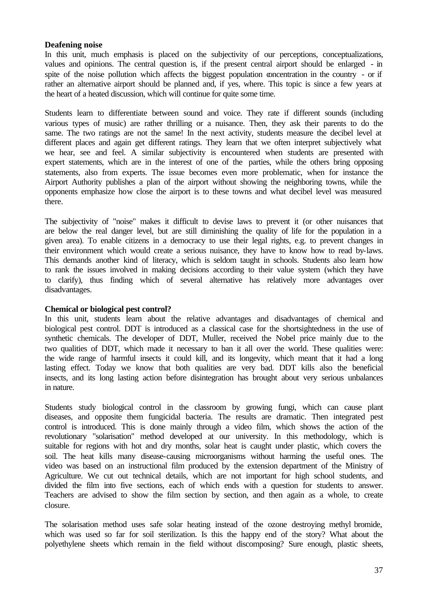#### **Deafening noise**

In this unit, much emphasis is placed on the subjectivity of our perceptions, conceptualizations, values and opinions. The central question is, if the present central airport should be enlarged - in spite of the noise pollution which affects the biggest population concentration in the country - or if rather an alternative airport should be planned and, if yes, where. This topic is since a few years at the heart of a heated discussion, which will continue for quite some time.

Students learn to differentiate between sound and voice. They rate if different sounds (including various types of music) are rather thrilling or a nuisance. Then, they ask their parents to do the same. The two ratings are not the same! In the next activity, students measure the decibel level at different places and again get different ratings. They learn that we often interpret subjectively what we hear, see and feel. A similar subjectivity is encountered when students are presented with expert statements, which are in the interest of one of the parties, while the others bring opposing statements, also from experts. The issue becomes even more problematic, when for instance the Airport Authority publishes a plan of the airport without showing the neighboring towns, while the opponents emphasize how close the airport is to these towns and what decibel level was measured there.

The subjectivity of "noise" makes it difficult to devise laws to prevent it (or other nuisances that are below the real danger level, but are still diminishing the quality of life for the population in a given area). To enable citizens in a democracy to use their legal rights, e.g. to prevent changes in their environment which would create a serious nuisance, they have to know how to read by-laws. This demands another kind of literacy, which is seldom taught in schools. Students also learn how to rank the issues involved in making decisions according to their value system (which they have to clarify), thus finding which of several alternative has relatively more advantages over disadvantages.

#### **Chemical or biological pest control?**

In this unit, students learn about the relative advantages and disadvantages of chemical and biological pest control. DDT is introduced as a classical case for the shortsightedness in the use of synthetic chemicals. The developer of DDT, Muller, received the Nobel price mainly due to the two qualities of DDT, which made it necessary to ban it all over the world. These qualities were: the wide range of harmful insects it could kill, and its longevity, which meant that it had a long lasting effect. Today we know that both qualities are very bad. DDT kills also the beneficial insects, and its long lasting action before disintegration has brought about very serious unbalances in nature.

Students study biological control in the classroom by growing fungi, which can cause plant diseases, and opposite them fungicidal bacteria. The results are dramatic. Then integrated pest control is introduced. This is done mainly through a video film, which shows the action of the revolutionary "solarisation" method developed at our university. In this methodology, which is suitable for regions with hot and dry months, solar heat is caught under plastic, which covers the soil. The heat kills many disease-causing microorganisms without harming the useful ones. The video was based on an instructional film produced by the extension department of the Ministry of Agriculture. We cut out technical details, which are not important for high school students, and divided the film into five sections, each of which ends with a question for students to answer. Teachers are advised to show the film section by section, and then again as a whole, to create closure.

The solarisation method uses safe solar heating instead of the ozone destroying methyl bromide, which was used so far for soil sterilization. Is this the happy end of the story? What about the polyethylene sheets which remain in the field without discomposing? Sure enough, plastic sheets,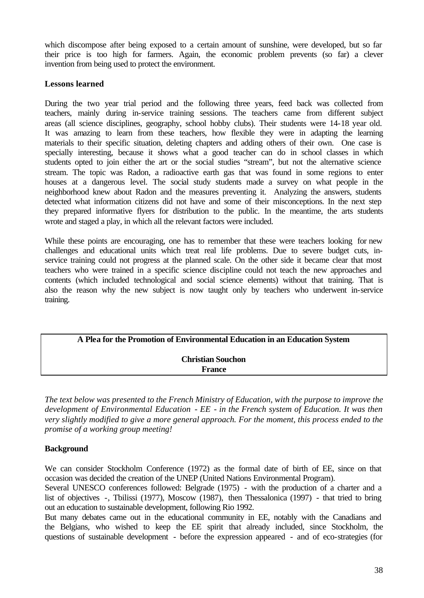which discompose after being exposed to a certain amount of sunshine, were developed, but so far their price is too high for farmers. Again, the economic problem prevents (so far) a clever invention from being used to protect the environment.

## **Lessons learned**

During the two year trial period and the following three years, feed back was collected from teachers, mainly during in-service training sessions. The teachers came from different subject areas (all science disciplines, geography, school hobby clubs). Their students were 14-18 year old. It was amazing to learn from these teachers, how flexible they were in adapting the learning materials to their specific situation, deleting chapters and adding others of their own. One case is specially interesting, because it shows what a good teacher can do in school classes in which students opted to join either the art or the social studies "stream", but not the alternative science stream. The topic was Radon, a radioactive earth gas that was found in some regions to enter houses at a dangerous level. The social study students made a survey on what people in the neighborhood knew about Radon and the measures preventing it. Analyzing the answers, students detected what information citizens did not have and some of their misconceptions. In the next step they prepared informative flyers for distribution to the public. In the meantime, the arts students wrote and staged a play, in which all the relevant factors were included.

While these points are encouraging, one has to remember that these were teachers looking for new challenges and educational units which treat real life problems. Due to severe budget cuts, inservice training could not progress at the planned scale. On the other side it became clear that most teachers who were trained in a specific science discipline could not teach the new approaches and contents (which included technological and social science elements) without that training. That is also the reason why the new subject is now taught only by teachers who underwent in-service training.

# **A Plea for the Promotion of Environmental Education in an Education System**

## **Christian Souchon France**

*The text below was presented to the French Ministry of Education, with the purpose to improve the development of Environmental Education - EE - in the French system of Education. It was then very slightly modified to give a more general approach. For the moment, this process ended to the promise of a working group meeting!*

## **Background**

We can consider Stockholm Conference (1972) as the formal date of birth of EE, since on that occasion was decided the creation of the UNEP (United Nations Environmental Program).

Several UNESCO conferences followed: Belgrade (1975) - with the production of a charter and a list of objectives -, Tbilissi (1977), Moscow (1987), then Thessalonica (1997) - that tried to bring out an education to sustainable development, following Rio 1992.

But many debates came out in the educational community in EE, notably with the Canadians and the Belgians, who wished to keep the EE spirit that already included, since Stockholm, the questions of sustainable development - before the expression appeared - and of eco-strategies (for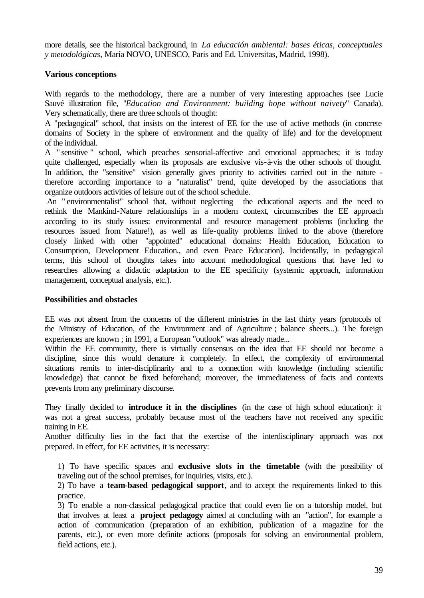more details, see the historical background, in *La educación ambiental: bases éticas, conceptuales y metodológicas*, María NOVO, UNESCO, Paris and Ed. Universitas, Madrid, 1998).

## **Various conceptions**

With regards to the methodology, there are a number of very interesting approaches (see Lucie Sauvé illustration file, "*Education and Environment: building hope without naivety*" Canada). Very schematically, there are three schools of thought:

A "pedagogical" school, that insists on the interest of EE for the use of active methods (in concrete domains of Society in the sphere of environment and the quality of life) and for the development of the individual.

A " sensitive " school, which preaches sensorial-affective and emotional approaches; it is today quite challenged, especially when its proposals are exclusive vis-à-vis the other schools of thought. In addition, the "sensitive" vision generally gives priority to activities carried out in the nature therefore according importance to a "naturalist" trend, quite developed by the associations that organize outdoors activities of leisure out of the school schedule.

 An " environmentalist" school that, without neglecting the educational aspects and the need to rethink the Mankind-Nature relationships in a modern context, circumscribes the EE approach according to its study issues: environmental and resource management problems (including the resources issued from Nature!), as well as life-quality problems linked to the above (therefore closely linked with other "appointed" educational domains: Health Education, Education to Consumption, Development Education., and even Peace Education). Incidentally, in pedagogical terms, this school of thoughts takes into account methodological questions that have led to researches allowing a didactic adaptation to the EE specificity (systemic approach, information management, conceptual analysis, etc.).

#### **Possibilities and obstacles**

EE was not absent from the concerns of the different ministries in the last thirty years (protocols of the Ministry of Education, of the Environment and of Agriculture ; balance sheets...). The foreign experiences are known ; in 1991, a European "outlook" was already made...

Within the EE community, there is virtually consensus on the idea that EE should not become a discipline, since this would denature it completely. In effect, the complexity of environmental situations remits to inter-disciplinarity and to a connection with knowledge (including scientific knowledge) that cannot be fixed beforehand; moreover, the immediateness of facts and contexts prevents from any preliminary discourse.

They finally decided to **introduce it in the disciplines** (in the case of high school education): it was not a great success, probably because most of the teachers have not received any specific training in EE.

Another difficulty lies in the fact that the exercise of the interdisciplinary approach was not prepared. In effect, for EE activities, it is necessary:

1) To have specific spaces and **exclusive slots in the timetable** (with the possibility of traveling out of the school premises, for inquiries, visits, etc.).

2) To have a **team-based pedagogical support**, and to accept the requirements linked to this practice.

3) To enable a non-classical pedagogical practice that could even lie on a tutorship model, but that involves at least a **project pedagogy** aimed at concluding with an "action", for example a action of communication (preparation of an exhibition, publication of a magazine for the parents, etc.), or even more definite actions (proposals for solving an environmental problem, field actions, etc.).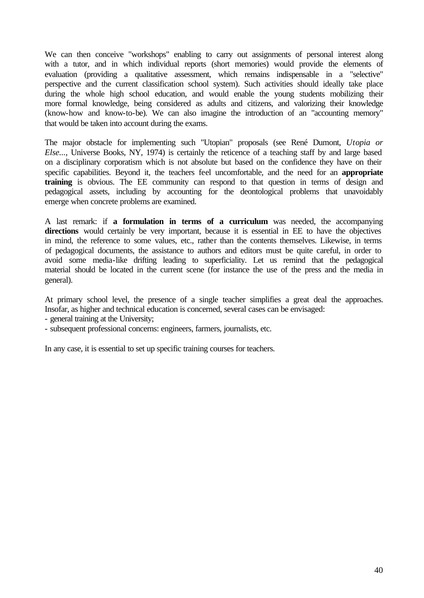We can then conceive "workshops" enabling to carry out assignments of personal interest along with a tutor, and in which individual reports (short memories) would provide the elements of evaluation (providing a qualitative assessment, which remains indispensable in a "selective" perspective and the current classification school system). Such activities should ideally take place during the whole high school education, and would enable the young students mobilizing their more formal knowledge, being considered as adults and citizens, and valorizing their knowledge (know-how and know-to-be). We can also imagine the introduction of an "accounting memory" that would be taken into account during the exams.

The major obstacle for implementing such "Utopian" proposals (see René Dumont, *Utopia or Else...*, Universe Books, NY, 1974) is certainly the reticence of a teaching staff by and large based on a disciplinary corporatism which is not absolute but based on the confidence they have on their specific capabilities. Beyond it, the teachers feel uncomfortable, and the need for an **appropriate training** is obvious. The EE community can respond to that question in terms of design and pedagogical assets, including by accounting for the deontological problems that unavoidably emerge when concrete problems are examined.

A last remark: if **a formulation in terms of a curriculum** was needed, the accompanying directions would certainly be very important, because it is essential in EE to have the objectives in mind, the reference to some values, etc., rather than the contents themselves. Likewise, in terms of pedagogical documents, the assistance to authors and editors must be quite careful, in order to avoid some media-like drifting leading to superficiality. Let us remind that the pedagogical material should be located in the current scene (for instance the use of the press and the media in general).

At primary school level, the presence of a single teacher simplifies a great deal the approaches. Insofar, as higher and technical education is concerned, several cases can be envisaged:

- general training at the University;

- subsequent professional concerns: engineers, farmers, journalists, etc.

In any case, it is essential to set up specific training courses for teachers.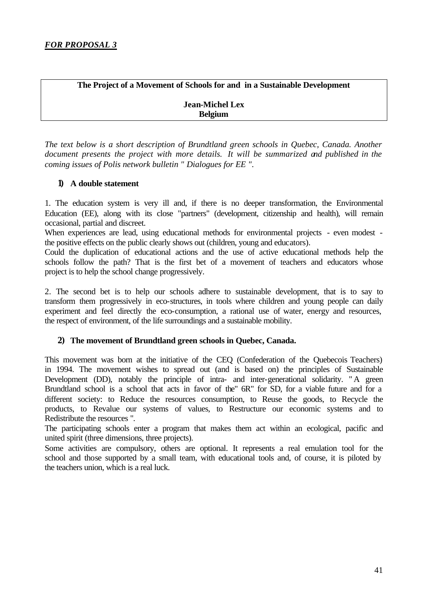**The Project of a Movement of Schools for and in a Sustainable Development**

**Jean-Michel Lex Belgium** 

*The text below is a short description of Brundtland green schools in Quebec, Canada. Another document presents the project with more details. It will be summarized and published in the coming issues of Polis network bulletin " Dialogues for EE ".* 

## **1) A double statement**

1. The education system is very ill and, if there is no deeper transformation, the Environmental Education (EE), along with its close "partners" (development, citizenship and health), will remain occasional, partial and discreet.

When experiences are lead, using educational methods for environmental projects - even modest the positive effects on the public clearly shows out (children, young and educators).

Could the duplication of educational actions and the use of active educational methods help the schools follow the path? That is the first bet of a movement of teachers and educators whose project is to help the school change progressively.

2. The second bet is to help our schools adhere to sustainable development, that is to say to transform them progressively in eco-structures, in tools where children and young people can daily experiment and feel directly the eco-consumption, a rational use of water, energy and resources, the respect of environment, of the life surroundings and a sustainable mobility.

## **2) The movement of Brundtland green schools in Quebec, Canada.**

This movement was born at the initiative of the CEQ (Confederation of the Quebecois Teachers) in 1994. The movement wishes to spread out (and is based on) the principles of Sustainable Development (DD), notably the principle of intra- and inter-generational solidarity. " A green Brundtland school is a school that acts in favor of the" 6R" for SD, for a viable future and for a different society: to Reduce the resources consumption, to Reuse the goods, to Recycle the products, to Revalue our systems of values, to Restructure our economic systems and to Redistribute the resources ".

The participating schools enter a program that makes them act within an ecological, pacific and united spirit (three dimensions, three projects).

Some activities are compulsory, others are optional. It represents a real emulation tool for the school and those supported by a small team, with educational tools and, of course, it is piloted by the teachers union, which is a real luck.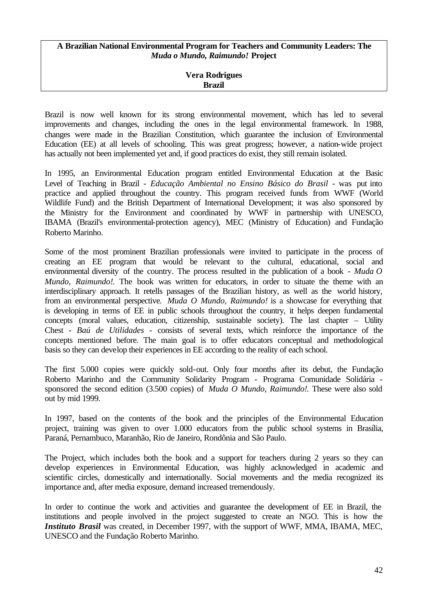#### **A Brazilian National Environmental Program for Teachers and Community Leaders: The**  *Muda o Mundo, Raimundo!* **Project**

## **Vera Rodrigues Brazil**

Brazil is now well known for its strong environmental movement, which has led to several improvements and changes, including the ones in the legal environmental framework. In 1988, changes were made in the Brazilian Constitution, which guarantee the inclusion of Environmental Education (EE) at all levels of schooling. This was great progress; however, a nation-wide project has actually not been implemented yet and, if good practices do exist, they still remain isolated.

In 1995, an Environmental Education program entitled Environmental Education at the Basic Level of Teaching in Brazil *- Educação Ambiental no Ensino Básico do Brasil* - was put into practice and applied throughout the country. This program received funds from WWF (World Wildlife Fund) and the British Department of International Development; it was also sponsored by the Ministry for the Environment and coordinated by WWF in partnership with UNESCO, IBAMA (Brazil's environmental-protection agency), MEC (Ministry of Education) and Fundação Roberto Marinho.

Some of the most prominent Brazilian professionals were invited to participate in the process of creating an EE program that would be relevant to the cultural, educational, social and environmental diversity of the country. The process resulted in the publication of a book - *Muda O Mundo, Raimundo!*. The book was written for educators, in order to situate the theme with an interdisciplinary approach. It retells passages of the Brazilian history, as well as the world history, from an environmental perspective. *Muda O Mundo, Raimundo!* is a showcase for everything that is developing in terms of EE in public schools throughout the country, it helps deepen fundamental concepts (moral values, education, citizenship, sustainable society). The last chapter – Utility Chest *- Baú de Utilidades* - consists of several texts, which reinforce the importance of the concepts mentioned before. The main goal is to offer educators conceptual and methodological basis so they can develop their experiences in EE according to the reality of each school.

The first 5.000 copies were quickly sold-out. Only four months after its debut, the Fundação Roberto Marinho and the Community Solidarity Program - Programa Comunidade Solidária sponsored the second edition (3.500 copies) of *Muda O Mundo, Raimundo!*. These were also sold out by mid 1999.

In 1997, based on the contents of the book and the principles of the Environmental Education project, training was given to over 1.000 educators from the public school systems in Brasília, Paraná, Pernambuco, Maranhão, Rio de Janeiro, Rondônia and São Paulo.

The Project, which includes both the book and a support for teachers during 2 years so they can develop experiences in Environmental Education, was highly acknowledged in academic and scientific circles, domestically and internationally. Social movements and the media recognized its importance and, after media exposure, demand increased tremendously.

In order to continue the work and activities and guarantee the development of EE in Brazil, the institutions and people involved in the project suggested to create an NGO. This is how the *Instituto Brasil* was created, in December 1997, with the support of WWF, MMA, IBAMA, MEC, UNESCO and the Fundação Roberto Marinho.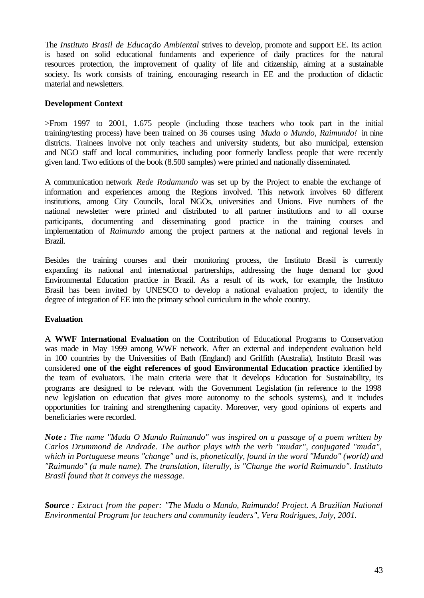The *Instituto Brasil de Educação Ambiental* strives to develop, promote and support EE. Its action is based on solid educational fundaments and experience of daily practices for the natural resources protection, the improvement of quality of life and citizenship, aiming at a sustainable society. Its work consists of training, encouraging research in EE and the production of didactic material and newsletters.

## **Development Context**

>From 1997 to 2001, 1.675 people (including those teachers who took part in the initial training/testing process) have been trained on 36 courses using *Muda o Mundo, Raimundo!* in nine districts. Trainees involve not only teachers and university students, but also municipal, extension and NGO staff and local communities, including poor formerly landless people that were recently given land. Two editions of the book (8.500 samples) were printed and nationally disseminated.

A communication network *Rede Rodamundo* was set up by the Project to enable the exchange of information and experiences among the Regions involved. This network involves 60 different institutions, among City Councils, local NGOs, universities and Unions. Five numbers of the national newsletter were printed and distributed to all partner institutions and to all course participants, documenting and disseminating good practice in the training courses and implementation of *Raimundo* among the project partners at the national and regional levels in Brazil.

Besides the training courses and their monitoring process, the Instituto Brasil is currently expanding its national and international partnerships, addressing the huge demand for good Environmental Education practice in Brazil. As a result of its work, for example, the Instituto Brasil has been invited by UNESCO to develop a national evaluation project, to identify the degree of integration of EE into the primary school curriculum in the whole country.

#### **Evaluation**

A **WWF International Evaluation** on the Contribution of Educational Programs to Conservation was made in May 1999 among WWF network. After an external and independent evaluation held in 100 countries by the Universities of Bath (England) and Griffith (Australia), Instituto Brasil was considered **one of the eight references of good Environmental Education practice** identified by the team of evaluators. The main criteria were that it develops Education for Sustainability, its programs are designed to be relevant with the Government Legislation (in reference to the 1998 new legislation on education that gives more autonomy to the schools systems), and it includes opportunities for training and strengthening capacity. Moreover, very good opinions of experts and beneficiaries were recorded.

*Note : The name "Muda O Mundo Raimundo" was inspired on a passage of a poem written by Carlos Drummond de Andrade. The author plays with the verb "mudar", conjugated "muda", which in Portuguese means "change" and is, phonetically, found in the word "Mundo" (world) and "Raimundo" (a male name). The translation, literally, is "Change the world Raimundo". Instituto Brasil found that it conveys the message.*

*Source : Extract from the paper: "The Muda o Mundo, Raimundo! Project. A Brazilian National Environmental Program for teachers and community leaders", Vera Rodrigues, July, 2001.*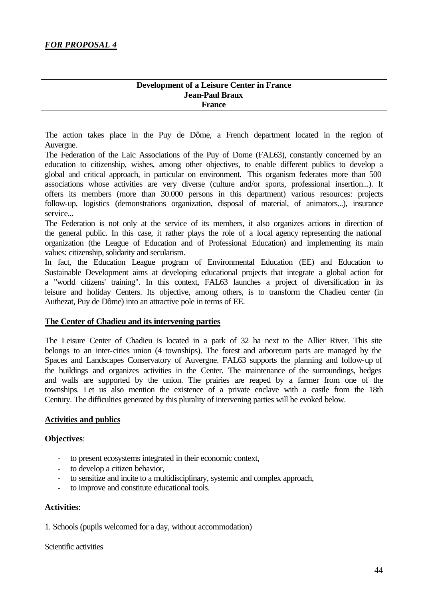#### **Development of a Leisure Center in France Jean-Paul Braux France**

The action takes place in the Puy de Dôme, a French department located in the region of Auvergne.

The Federation of the Laic Associations of the Puy of Dome (FAL63), constantly concerned by an education to citizenship, wishes, among other objectives, to enable different publics to develop a global and critical approach, in particular on environment. This organism federates more than 500 associations whose activities are very diverse (culture and/or sports, professional insertion...). It offers its members (more than 30.000 persons in this department) various resources: projects follow-up, logistics (demonstrations organization, disposal of material, of animators...), insurance service...

The Federation is not only at the service of its members, it also organizes actions in direction of the general public. In this case, it rather plays the role of a local agency representing the national organization (the League of Education and of Professional Education) and implementing its main values: citizenship, solidarity and secularism.

In fact, the Education League program of Environmental Education (EE) and Education to Sustainable Development aims at developing educational projects that integrate a global action for a "world citizens' training". In this context, FAL63 launches a project of diversification in its leisure and holiday Centers. Its objective, among others, is to transform the Chadieu center (in Authezat, Puy de Dôme) into an attractive pole in terms of EE.

#### **The Center of Chadieu and its intervening parties**

The Leisure Center of Chadieu is located in a park of 32 ha next to the Allier River. This site belongs to an inter-cities union (4 townships). The forest and arboretum parts are managed by the Spaces and Landscapes Conservatory of Auvergne. FAL63 supports the planning and follow-up of the buildings and organizes activities in the Center. The maintenance of the surroundings, hedges and walls are supported by the union. The prairies are reaped by a farmer from one of the townships. Let us also mention the existence of a private enclave with a castle from the 18th Century. The difficulties generated by this plurality of intervening parties will be evoked below.

#### **Activities and publics**

#### **Objectives**:

- to present ecosystems integrated in their economic context,
- to develop a citizen behavior,
- to sensitize and incite to a multidisciplinary, systemic and complex approach,
- to improve and constitute educational tools.

#### **Activities**:

1. Schools (pupils welcomed for a day, without accommodation)

#### Scientific activities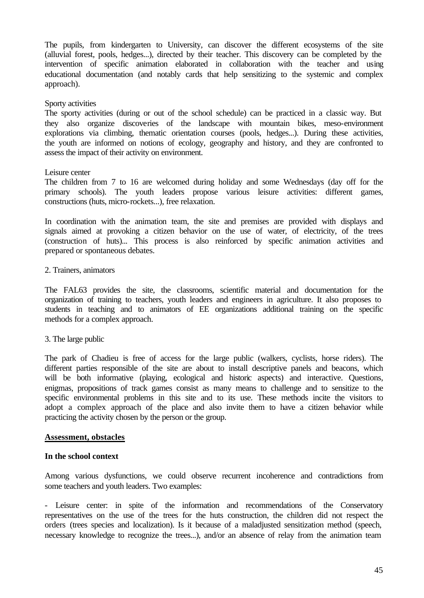The pupils, from kindergarten to University, can discover the different ecosystems of the site (alluvial forest, pools, hedges...), directed by their teacher. This discovery can be completed by the intervention of specific animation elaborated in collaboration with the teacher and using educational documentation (and notably cards that help sensitizing to the systemic and complex approach).

#### Sporty activities

The sporty activities (during or out of the school schedule) can be practiced in a classic way. But they also organize discoveries of the landscape with mountain bikes, meso-environment explorations via climbing, thematic orientation courses (pools, hedges...). During these activities, the youth are informed on notions of ecology, geography and history, and they are confronted to assess the impact of their activity on environment.

### Leisure center

The children from 7 to 16 are welcomed during holiday and some Wednesdays (day off for the primary schools). The youth leaders propose various leisure activities: different games, constructions (huts, micro-rockets...), free relaxation.

In coordination with the animation team, the site and premises are provided with displays and signals aimed at provoking a citizen behavior on the use of water, of electricity, of the trees (construction of huts)... This process is also reinforced by specific animation activities and prepared or spontaneous debates.

### 2. Trainers, animators

The FAL63 provides the site, the classrooms, scientific material and documentation for the organization of training to teachers, youth leaders and engineers in agriculture. It also proposes to students in teaching and to animators of EE organizations additional training on the specific methods for a complex approach.

#### 3. The large public

The park of Chadieu is free of access for the large public (walkers, cyclists, horse riders). The different parties responsible of the site are about to install descriptive panels and beacons, which will be both informative (playing, ecological and historic aspects) and interactive. Ouestions, enigmas, propositions of track games consist as many means to challenge and to sensitize to the specific environmental problems in this site and to its use. These methods incite the visitors to adopt a complex approach of the place and also invite them to have a citizen behavior while practicing the activity chosen by the person or the group.

#### **Assessment, obstacles**

#### **In the school context**

Among various dysfunctions, we could observe recurrent incoherence and contradictions from some teachers and youth leaders. Two examples:

- Leisure center: in spite of the information and recommendations of the Conservatory representatives on the use of the trees for the huts construction, the children did not respect the orders (trees species and localization). Is it because of a maladjusted sensitization method (speech, necessary knowledge to recognize the trees...), and/or an absence of relay from the animation team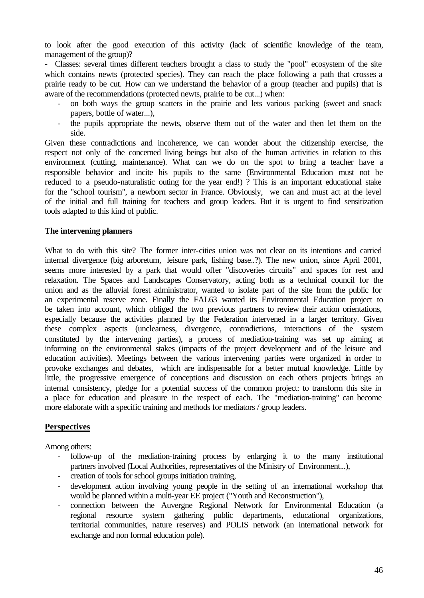to look after the good execution of this activity (lack of scientific knowledge of the team, management of the group)?

- Classes: several times different teachers brought a class to study the "pool" ecosystem of the site which contains newts (protected species). They can reach the place following a path that crosses a prairie ready to be cut. How can we understand the behavior of a group (teacher and pupils) that is aware of the recommendations (protected newts, prairie to be cut...) when:

- on both ways the group scatters in the prairie and lets various packing (sweet and snack papers, bottle of water...),
- the pupils appropriate the newts, observe them out of the water and then let them on the side.

Given these contradictions and incoherence, we can wonder about the citizenship exercise, the respect not only of the concerned living beings but also of the human activities in relation to this environment (cutting, maintenance). What can we do on the spot to bring a teacher have a responsible behavior and incite his pupils to the same (Environmental Education must not be reduced to a pseudo-naturalistic outing for the year end!) ? This is an important educational stake for the "school tourism", a newborn sector in France. Obviously, we can and must act at the level of the initial and full training for teachers and group leaders. But it is urgent to find sensitization tools adapted to this kind of public.

#### **The intervening planners**

What to do with this site? The former inter-cities union was not clear on its intentions and carried internal divergence (big arboretum, leisure park, fishing base..?). The new union, since April 2001, seems more interested by a park that would offer "discoveries circuits" and spaces for rest and relaxation. The Spaces and Landscapes Conservatory, acting both as a technical council for the union and as the alluvial forest administrator, wanted to isolate part of the site from the public for an experimental reserve zone. Finally the FAL63 wanted its Environmental Education project to be taken into account, which obliged the two previous partners to review their action orientations, especially because the activities planned by the Federation intervened in a larger territory. Given these complex aspects (unclearness, divergence, contradictions, interactions of the system constituted by the intervening parties), a process of mediation-training was set up aiming at informing on the environmental stakes (impacts of the project development and of the leisure and education activities). Meetings between the various intervening parties were organized in order to provoke exchanges and debates, which are indispensable for a better mutual knowledge. Little by little, the progressive emergence of conceptions and discussion on each others projects brings an internal consistency, pledge for a potential success of the common project: to transform this site in a place for education and pleasure in the respect of each. The "mediation-training" can become more elaborate with a specific training and methods for mediators / group leaders.

## **Perspectives**

Among others:

- follow-up of the mediation-training process by enlarging it to the many institutional partners involved (Local Authorities, representatives of the Ministry of Environment...),
- creation of tools for school groups initiation training,
- development action involving young people in the setting of an international workshop that would be planned within a multi-year EE project ("Youth and Reconstruction"),
- connection between the Auvergne Regional Network for Environmental Education (a regional resource system gathering public departments, educational organizations, territorial communities, nature reserves) and POLIS network (an international network for exchange and non formal education pole).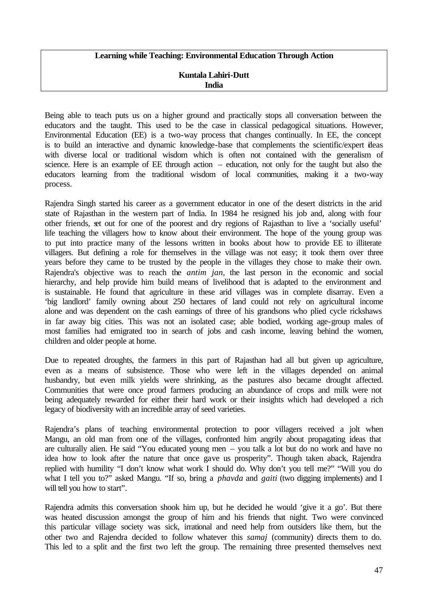#### **Learning while Teaching: Environmental Education Through Action**

### **Kuntala Lahiri-Dutt India**

Being able to teach puts us on a higher ground and practically stops all conversation between the educators and the taught. This used to be the case in classical pedagogical situations. However, Environmental Education (EE) is a two-way process that changes continually. In EE, the concept is to build an interactive and dynamic knowledge-base that complements the scientific/expert ideas with diverse local or traditional wisdom which is often not contained with the generalism of science. Here is an example of EE through action – education, not only for the taught but also the educators learning from the traditional wisdom of local communities, making it a two-way process.

Rajendra Singh started his career as a government educator in one of the desert districts in the arid state of Rajasthan in the western part of India. In 1984 he resigned his job and, along with four other friends, set out for one of the poorest and dry regions of Rajasthan to live a 'socially useful' life teaching the villagers how to know about their environment. The hope of the young group was to put into practice many of the lessons written in books about how to provide EE to illiterate villagers. But defining a role for themselves in the village was not easy; it took them over three years before they came to be trusted by the people in the villages they chose to make their own. Rajendra's objective was to reach the *antim jan*, the last person in the economic and social hierarchy, and help provide him build means of livelihood that is adapted to the environment and is sustainable. He found that agriculture in these arid villages was in complete disarray. Even a 'big landlord' family owning about 250 hectares of land could not rely on agricultural income alone and was dependent on the cash earnings of three of his grandsons who plied cycle rickshaws in far away big cities. This was not an isolated case; able bodied, working age-group males of most families had emigrated too in search of jobs and cash income, leaving behind the women, children and older people at home.

Due to repeated droughts, the farmers in this part of Rajasthan had all but given up agriculture, even as a means of subsistence. Those who were left in the villages depended on animal husbandry, but even milk yields were shrinking, as the pastures also became drought affected. Communities that were once proud farmers producing an abundance of crops and milk were not being adequately rewarded for either their hard work or their insights which had developed a rich legacy of biodiversity with an incredible array of seed varieties.

Rajendra's plans of teaching environmental protection to poor villagers received a jolt when Mangu, an old man from one of the villages, confronted him angrily about propagating ideas that are culturally alien. He said "You educated young men – you talk a lot but do no work and have no idea how to look after the nature that once gave us prosperity". Though taken aback, Rajendra replied with humility "I don't know what work I should do. Why don't you tell me?" "Will you do what I tell you to?" asked Mangu. "If so, bring a *phavda* and *gaiti* (two digging implements) and I will tell you how to start".

Rajendra admits this conversation shook him up, but he decided he would 'give it a go'. But there was heated discussion amongst the group of him and his friends that night. Two were convinced this particular village society was sick, irrational and need help from outsiders like them, but the other two and Rajendra decided to follow whatever this *samaj* (community) directs them to do. This led to a split and the first two left the group. The remaining three presented themselves next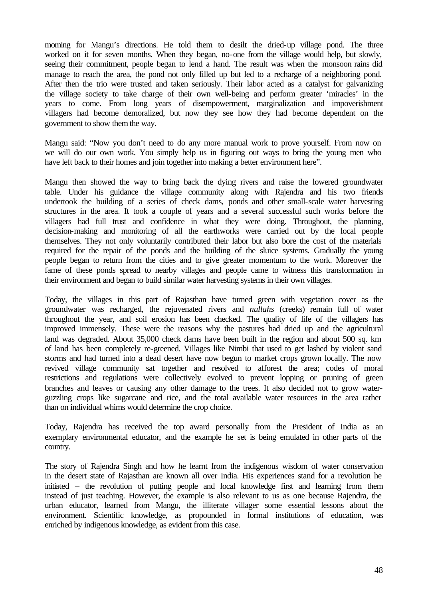morning for Mangu's directions. He told them to desilt the dried-up village pond. The three worked on it for seven months. When they began, no-one from the village would help, but slowly, seeing their commitment, people began to lend a hand. The result was when the monsoon rains did manage to reach the area, the pond not only filled up but led to a recharge of a neighboring pond. After then the trio were trusted and taken seriously. Their labor acted as a catalyst for galvanizing the village society to take charge of their own well-being and perform greater 'miracles' in the years to come. From long years of disempowerment, marginalization and impoverishment villagers had become demoralized, but now they see how they had become dependent on the government to show them the way.

Mangu said: "Now you don't need to do any more manual work to prove yourself. From now on we will do our own work. You simply help us in figuring out ways to bring the young men who have left back to their homes and join together into making a better environment here".

Mangu then showed the way to bring back the dying rivers and raise the lowered groundwater table. Under his guidance the village community along with Rajendra and his two friends undertook the building of a series of check dams, ponds and other small-scale water harvesting structures in the area. It took a couple of years and a several successful such works before the villagers had full trust and confidence in what they were doing. Throughout, the planning, decision-making and monitoring of all the earthworks were carried out by the local people themselves. They not only voluntarily contributed their labor but also bore the cost of the materials required for the repair of the ponds and the building of the sluice systems. Gradually the young people began to return from the cities and to give greater momentum to the work. Moreover the fame of these ponds spread to nearby villages and people came to witness this transformation in their environment and began to build similar water harvesting systems in their own villages.

Today, the villages in this part of Rajasthan have turned green with vegetation cover as the groundwater was recharged, the rejuvenated rivers and *nullahs* (creeks) remain full of water throughout the year, and soil erosion has been checked. The quality of life of the villagers has improved immensely. These were the reasons why the pastures had dried up and the agricultural land was degraded. About 35,000 check dams have been built in the region and about 500 sq. km of land has been completely re-greened. Villages like Nimbi that used to get lashed by violent sand storms and had turned into a dead desert have now begun to market crops grown locally. The now revived village community sat together and resolved to afforest the area; codes of moral restrictions and regulations were collectively evolved to prevent lopping or pruning of green branches and leaves or causing any other damage to the trees. It also decided not to grow waterguzzling crops like sugarcane and rice, and the total available water resources in the area rather than on individual whims would determine the crop choice.

Today, Rajendra has received the top award personally from the President of India as an exemplary environmental educator, and the example he set is being emulated in other parts of the country.

The story of Rajendra Singh and how he learnt from the indigenous wisdom of water conservation in the desert state of Rajasthan are known all over India. His experiences stand for a revolution he initiated – the revolution of putting people and local knowledge first and learning from them instead of just teaching. However, the example is also relevant to us as one because Rajendra, the urban educator, learned from Mangu, the illiterate villager some essential lessons about the environment. Scientific knowledge, as propounded in formal institutions of education, was enriched by indigenous knowledge, as evident from this case.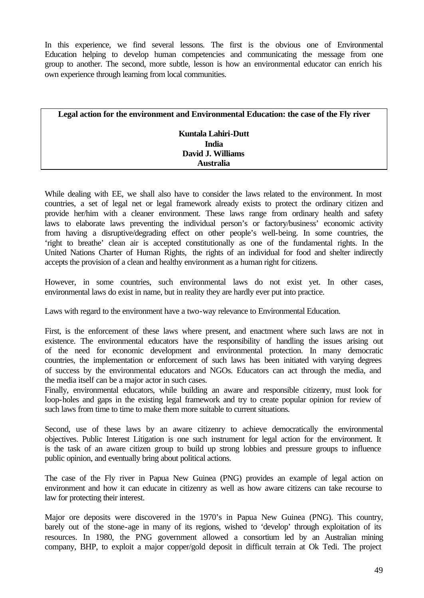In this experience, we find several lessons. The first is the obvious one of Environmental Education helping to develop human competencies and communicating the message from one group to another. The second, more subtle, lesson is how an environmental educator can enrich his own experience through learning from local communities.

| Legal action for the environment and Environmental Education: the case of the Fly river |  |  |  |
|-----------------------------------------------------------------------------------------|--|--|--|
| Kuntala Lahiri-Dutt                                                                     |  |  |  |
| <b>India</b>                                                                            |  |  |  |
| David J. Williams                                                                       |  |  |  |
| Australia                                                                               |  |  |  |

While dealing with EE, we shall also have to consider the laws related to the environment. In most countries, a set of legal net or legal framework already exists to protect the ordinary citizen and provide her/him with a cleaner environment. These laws range from ordinary health and safety laws to elaborate laws preventing the individual person's or factory/business' economic activity from having a disruptive/degrading effect on other people's well-being. In some countries, the 'right to breathe' clean air is accepted constitutionally as one of the fundamental rights. In the United Nations Charter of Human Rights, the rights of an individual for food and shelter indirectly accepts the provision of a clean and healthy environment as a human right for citizens.

However, in some countries, such environmental laws do not exist yet. In other cases, environmental laws do exist in name, but in reality they are hardly ever put into practice.

Laws with regard to the environment have a two-way relevance to Environmental Education.

First, is the enforcement of these laws where present, and enactment where such laws are not in existence. The environmental educators have the responsibility of handling the issues arising out of the need for economic development and environmental protection. In many democratic countries, the implementation or enforcement of such laws has been initiated with varying degrees of success by the environmental educators and NGOs. Educators can act through the media, and the media itself can be a major actor in such cases.

Finally, environmental educators, while building an aware and responsible citizenry, must look for loop-holes and gaps in the existing legal framework and try to create popular opinion for review of such laws from time to time to make them more suitable to current situations.

Second, use of these laws by an aware citizenry to achieve democratically the environmental objectives. Public Interest Litigation is one such instrument for legal action for the environment. It is the task of an aware citizen group to build up strong lobbies and pressure groups to influence public opinion, and eventually bring about political actions.

The case of the Fly river in Papua New Guinea (PNG) provides an example of legal action on environment and how it can educate in citizenry as well as how aware citizens can take recourse to law for protecting their interest.

Major ore deposits were discovered in the 1970's in Papua New Guinea (PNG). This country, barely out of the stone-age in many of its regions, wished to 'develop' through exploitation of its resources. In 1980, the PNG government allowed a consortium led by an Australian mining company, BHP, to exploit a major copper/gold deposit in difficult terrain at Ok Tedi. The project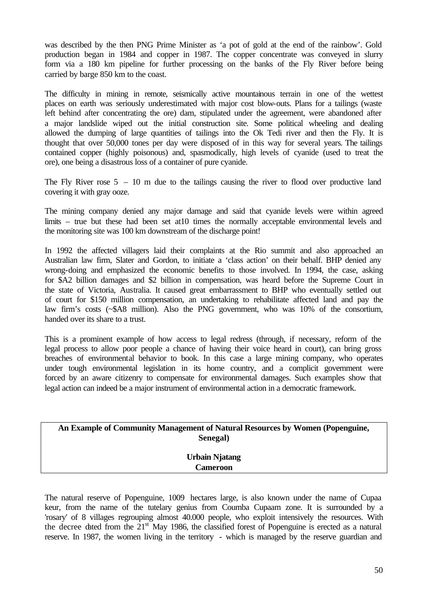was described by the then PNG Prime Minister as 'a pot of gold at the end of the rainbow'. Gold production began in 1984 and copper in 1987. The copper concentrate was conveyed in slurry form via a 180 km pipeline for further processing on the banks of the Fly River before being carried by barge 850 km to the coast.

The difficulty in mining in remote, seismically active mountainous terrain in one of the wettest places on earth was seriously underestimated with major cost blow-outs. Plans for a tailings (waste left behind after concentrating the ore) dam, stipulated under the agreement, were abandoned after a major landslide wiped out the initial construction site. Some political wheeling and dealing allowed the dumping of large quantities of tailings into the Ok Tedi river and then the Fly. It is thought that over 50,000 tones per day were disposed of in this way for several years. The tailings contained copper (highly poisonous) and, spasmodically, high levels of cyanide (used to treat the ore), one being a disastrous loss of a container of pure cyanide.

The Fly River rose  $5 - 10$  m due to the tailings causing the river to flood over productive land covering it with gray ooze.

The mining company denied any major damage and said that cyanide levels were within agreed limits – true but these had been set at 10 times the normally acceptable environmental levels and the monitoring site was 100 km downstream of the discharge point!

In 1992 the affected villagers laid their complaints at the Rio summit and also approached an Australian law firm, Slater and Gordon, to initiate a 'class action' on their behalf. BHP denied any wrong-doing and emphasized the economic benefits to those involved. In 1994, the case, asking for \$A2 billion damages and \$2 billion in compensation, was heard before the Supreme Court in the state of Victoria, Australia. It caused great embarrassment to BHP who eventually settled out of court for \$150 million compensation, an undertaking to rehabilitate affected land and pay the law firm's costs (~\$A8 million). Also the PNG government, who was 10% of the consortium, handed over its share to a trust.

This is a prominent example of how access to legal redress (through, if necessary, reform of the legal process to allow poor people a chance of having their voice heard in court), can bring gross breaches of environmental behavior to book. In this case a large mining company, who operates under tough environmental legislation in its home country, and a complicit government were forced by an aware citizenry to compensate for environmental damages. Such examples show that legal action can indeed be a major instrument of environmental action in a democratic framework.

**An Example of Community Management of Natural Resources by Women (Popenguine, Senegal)**

> **Urbain Njatang Cameroon**

The natural reserve of Popenguine, 1009 hectares large, is also known under the name of Cupaa keur, from the name of the tutelary genius from Coumba Cupaam zone. It is surrounded by a 'rosary' of 8 villages regrouping almost 40.000 people, who exploit intensively the resources. With the decree dated from the  $21<sup>st</sup>$  May 1986, the classified forest of Popenguine is erected as a natural reserve. In 1987, the women living in the territory - which is managed by the reserve guardian and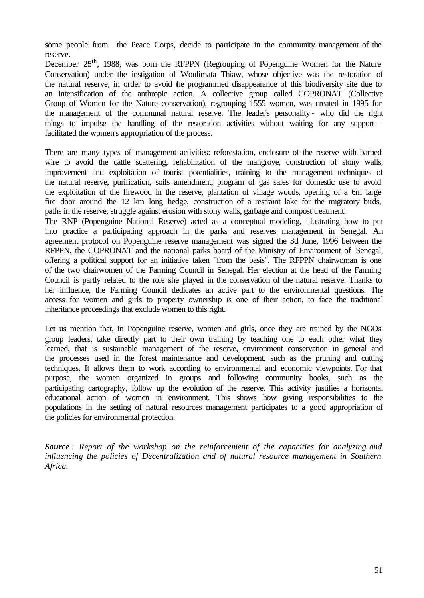some people from the Peace Corps, decide to participate in the community management of the reserve.

December 25<sup>th</sup>, 1988, was born the RFPPN (Regrouping of Popenguine Women for the Nature Conservation) under the instigation of Woulimata Thiaw, whose objective was the restoration of the natural reserve, in order to avoid the programmed disappearance of this biodiversity site due to an intensification of the anthropic action. A collective group called COPRONAT (Collective Group of Women for the Nature conservation), regrouping 1555 women, was created in 1995 for the management of the communal natural reserve. The leader's personality - who did the right things to impulse the handling of the restoration activities without waiting for any support facilitated the women's appropriation of the process.

There are many types of management activities: reforestation, enclosure of the reserve with barbed wire to avoid the cattle scattering, rehabilitation of the mangrove, construction of stony walls, improvement and exploitation of tourist potentialities, training to the management techniques of the natural reserve, purification, soils amendment, program of gas sales for domestic use to avoid the exploitation of the firewood in the reserve, plantation of village woods, opening of a 6m large fire door around the 12 km long hedge, construction of a restraint lake for the migratory birds, paths in the reserve, struggle against erosion with stony walls, garbage and compost treatment.

The RNP (Popenguine National Reserve) acted as a conceptual modeling, illustrating how to put into practice a participating approach in the parks and reserves management in Senegal. An agreement protocol on Popenguine reserve management was signed the 3d June, 1996 between the RFPPN, the COPRONAT and the national parks board of the Ministry of Environment of Senegal, offering a political support for an initiative taken "from the basis". The RFPPN chairwoman is one of the two chairwomen of the Farming Council in Senegal. Her election at the head of the Farming Council is partly related to the role she played in the conservation of the natural reserve. Thanks to her influence, the Farming Council dedicates an active part to the environmental questions. The access for women and girls to property ownership is one of their action, to face the traditional inheritance proceedings that exclude women to this right.

Let us mention that, in Popenguine reserve, women and girls, once they are trained by the NGOs group leaders, take directly part to their own training by teaching one to each other what they learned, that is sustainable management of the reserve, environment conservation in general and the processes used in the forest maintenance and development, such as the pruning and cutting techniques. It allows them to work according to environmental and economic viewpoints. For that purpose, the women organized in groups and following community books, such as the participating cartography, follow up the evolution of the reserve. This activity justifies a horizontal educational action of women in environment. This shows how giving responsibilities to the populations in the setting of natural resources management participates to a good appropriation of the policies for environmental protection.

*Source : Report of the workshop on the reinforcement of the capacities for analyzing and influencing the policies of Decentralization and of natural resource management in Southern Africa.*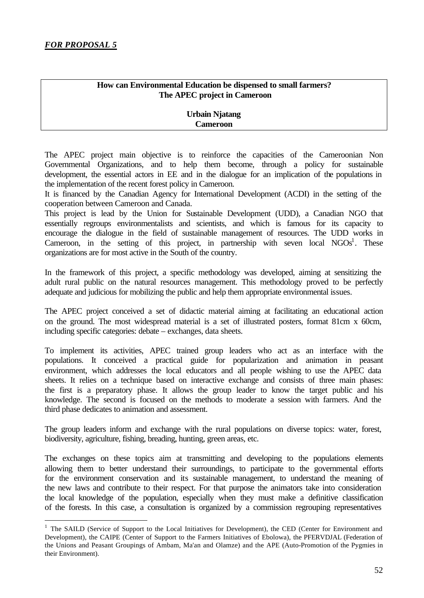l

## **How can Environmental Education be dispensed to small farmers? The APEC project in Cameroon**

## **Urbain Njatang Cameroon**

The APEC project main objective is to reinforce the capacities of the Cameroonian Non Governmental Organizations, and to help them become, through a policy for sustainable development, the essential actors in EE and in the dialogue for an implication of the populations in the implementation of the recent forest policy in Cameroon.

It is financed by the Canadian Agency for International Development (ACDI) in the setting of the cooperation between Cameroon and Canada.

This project is lead by the Union for Sustainable Development (UDD), a Canadian NGO that essentially regroups environmentalists and scientists, and which is famous for its capacity to encourage the dialogue in the field of sustainable management of resources. The UDD works in Cameroon, in the setting of this project, in partnership with seven local  $NGOs<sup>1</sup>$ . These organizations are for most active in the South of the country.

In the framework of this project, a specific methodology was developed, aiming at sensitizing the adult rural public on the natural resources management. This methodology proved to be perfectly adequate and judicious for mobilizing the public and help them appropriate environmental issues.

The APEC project conceived a set of didactic material aiming at facilitating an educational action on the ground. The most widespread material is a set of illustrated posters, format 81cm x 60cm, including specific categories: debate – exchanges, data sheets.

To implement its activities, APEC trained group leaders who act as an interface with the populations. It conceived a practical guide for popularization and animation in peasant environment, which addresses the local educators and all people wishing to use the APEC data sheets. It relies on a technique based on interactive exchange and consists of three main phases: the first is a preparatory phase. It allows the group leader to know the target public and his knowledge. The second is focused on the methods to moderate a session with farmers. And the third phase dedicates to animation and assessment.

The group leaders inform and exchange with the rural populations on diverse topics: water, forest, biodiversity, agriculture, fishing, breading, hunting, green areas, etc.

The exchanges on these topics aim at transmitting and developing to the populations elements allowing them to better understand their surroundings, to participate to the governmental efforts for the environment conservation and its sustainable management, to understand the meaning of the new laws and contribute to their respect. For that purpose the animators take into consideration the local knowledge of the population, especially when they must make a definitive classification of the forests. In this case, a consultation is organized by a commission regrouping representatives

<sup>&</sup>lt;sup>1</sup> The SAILD (Service of Support to the Local Initiatives for Development), the CED (Center for Environment and Development), the CAIPE (Center of Support to the Farmers Initiatives of Ebolowa), the PFERVDJAL (Federation of the Unions and Peasant Groupings of Ambam, Ma'an and Olamze) and the APE (Auto-Promotion of the Pygmies in their Environment).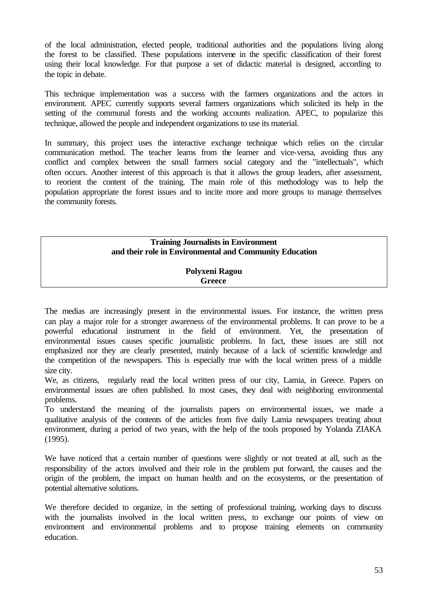of the local administration, elected people, traditional authorities and the populations living along the forest to be classified. These populations intervene in the specific classification of their forest using their local knowledge. For that purpose a set of didactic material is designed, according to the topic in debate.

This technique implementation was a success with the farmers organizations and the actors in environment. APEC currently supports several farmers organizations which solicited its help in the setting of the communal forests and the working accounts realization. APEC, to popularize this technique, allowed the people and independent organizations to use its material.

In summary, this project uses the interactive exchange technique which relies on the circular communication method. The teacher learns from the learner and vice-versa, avoiding thus any conflict and complex between the small farmers social category and the "intellectuals", which often occurs. Another interest of this approach is that it allows the group leaders, after assessment, to reorient the content of the training. The main role of this methodology was to help the population appropriate the forest issues and to incite more and more groups to manage themselves the community forests.

## **Training Journalists in Environment and their role in Environmental and Community Education**

#### **Polyxeni Ragou Greece**

The medias are increasingly present in the environmental issues. For instance, the written press can play a major role for a stronger awareness of the environmental problems. It can prove to be a powerful educational instrument in the field of environment. Yet, the presentation of environmental issues causes specific journalistic problems. In fact, these issues are still not emphasized nor they are clearly presented, mainly because of a lack of scientific knowledge and the competition of the newspapers. This is especially true with the local written press of a middle size city.

We, as citizens, regularly read the local written press of our city, Lamia, in Greece. Papers on environmental issues are often published. In most cases, they deal with neighboring environmental problems.

To understand the meaning of the journalists papers on environmental issues, we made a qualitative analysis of the contents of the articles from five daily Lamia newspapers treating about environment, during a period of two years, with the help of the tools proposed by Yolanda ZIAKA (1995).

We have noticed that a certain number of questions were slightly or not treated at all, such as the responsibility of the actors involved and their role in the problem put forward, the causes and the origin of the problem, the impact on human health and on the ecosystems, or the presentation of potential alternative solutions.

We therefore decided to organize, in the setting of professional training, working days to discuss with the journalists involved in the local written press, to exchange our points of view on environment and environmental problems and to propose training elements on community education.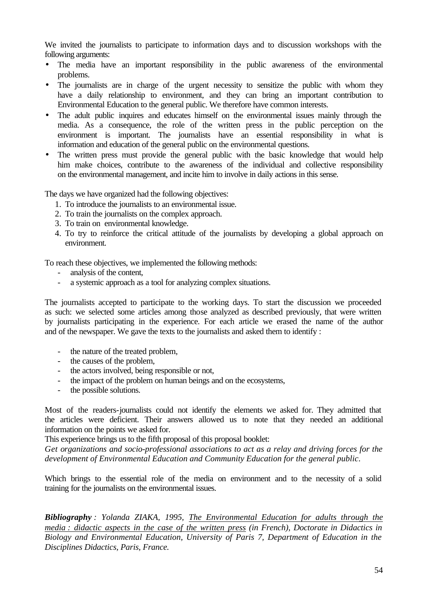We invited the journalists to participate to information days and to discussion workshops with the following arguments:

- The media have an important responsibility in the public awareness of the environmental problems.
- The journalists are in charge of the urgent necessity to sensitize the public with whom they have a daily relationship to environment, and they can bring an important contribution to Environmental Education to the general public. We therefore have common interests.
- The adult public inquires and educates himself on the environmental issues mainly through the media. As a consequence, the role of the written press in the public perception on the environment is important. The journalists have an essential responsibility in what is information and education of the general public on the environmental questions.
- The written press must provide the general public with the basic knowledge that would help him make choices, contribute to the awareness of the individual and collective responsibility on the environmental management, and incite him to involve in daily actions in this sense.

The days we have organized had the following objectives:

- 1. To introduce the journalists to an environmental issue.
- 2. To train the journalists on the complex approach.
- 3. To train on environmental knowledge.
- 4. To try to reinforce the critical attitude of the journalists by developing a global approach on environment.

To reach these objectives, we implemented the following methods:

- analysis of the content,
- a systemic approach as a tool for analyzing complex situations.

The journalists accepted to participate to the working days. To start the discussion we proceeded as such: we selected some articles among those analyzed as described previously, that were written by journalists participating in the experience. For each article we erased the name of the author and of the newspaper. We gave the texts to the journalists and asked them to identify :

- the nature of the treated problem,
- the causes of the problem,
- the actors involved, being responsible or not,
- the impact of the problem on human beings and on the ecosystems,
- the possible solutions.

Most of the readers-journalists could not identify the elements we asked for. They admitted that the articles were deficient. Their answers allowed us to note that they needed an additional information on the points we asked for.

This experience brings us to the fifth proposal of this proposal booklet:

*Get organizations and socio-professional associations to act as a relay and driving forces for the development of Environmental Education and Community Education for the general public*.

Which brings to the essential role of the media on environment and to the necessity of a solid training for the journalists on the environmental issues.

*Bibliography : Yolanda ZIAKA, 1995, The Environmental Education for adults through the media : didactic aspects in the case of the written press (in French), Doctorate in Didactics in Biology and Environmental Education, University of Paris 7, Department of Education in the Disciplines Didactics, Paris, France.*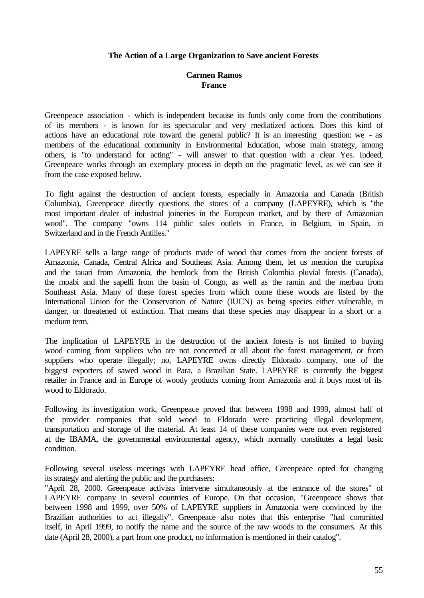#### **The Action of a Large Organization to Save ancient Forests**

#### **Carmen Ramos France**

Greenpeace association - which is independent because its funds only come from the contributions of its members - is known for its spectacular and very mediatized actions. Does this kind of actions have an educational role toward the general public? It is an interesting question: we - as members of the educational community in Environmental Education, whose main strategy, among others, is "to understand for acting" - will answer to that question with a clear Yes. Indeed, Greenpeace works through an exemplary process in depth on the pragmatic level, as we can see it from the case exposed below.

To fight against the destruction of ancient forests, especially in Amazonia and Canada (British Columbia), Greenpeace directly questions the stores of a company (LAPEYRE), which is "the most important dealer of industrial joineries in the European market, and by there of Amazonian wood". The company "owns 114 public sales outlets in France, in Belgium, in Spain, in Switzerland and in the French Antilles."

LAPEYRE sells a large range of products made of wood that comes from the ancient forests of Amazonia, Canada, Central Africa and Southeast Asia. Among them, let us mention the curupixa and the tauari from Amazonia, the hemlock from the British Colombia pluvial forests (Canada), the moabi and the sapelli from the basin of Congo, as well as the ramin and the merbau from Southeast Asia. Many of these forest species from which come these woods are listed by the International Union for the Conservation of Nature (IUCN) as being species either vulnerable, in danger, or threatened of extinction. That means that these species may disappear in a short or a medium term.

The implication of LAPEYRE in the destruction of the ancient forests is not limited to buying wood coming from suppliers who are not concerned at all about the forest management, or from suppliers who operate illegally; no, LAPEYRE owns directly Eldorado company, one of the biggest exporters of sawed wood in Para, a Brazilian State. LAPEYRE is currently the biggest retailer in France and in Europe of woody products coming from Amazonia and it buys most of its wood to Eldorado.

Following its investigation work, Greenpeace proved that between 1998 and 1999, almost half of the provider companies that sold wood to Eldorado were practicing illegal development, transportation and storage of the material. At least 14 of these companies were not even registered at the IBAMA, the governmental environmental agency, which normally constitutes a legal basic condition.

Following several useless meetings with LAPEYRE head office, Greenpeace opted for changing its strategy and alerting the public and the purchasers:

"April 28, 2000. Greenpeace activists intervene simultaneously at the entrance of the stores" of LAPEYRE company in several countries of Europe. On that occasion, "Greenpeace shows that between 1998 and 1999, over 50% of LAPEYRE suppliers in Amazonia were convinced by the Brazilian authorities to act illegally". Greenpeace also notes that this enterprise "had committed itself, in April 1999, to notify the name and the source of the raw woods to the consumers. At this date (April 28, 2000), a part from one product, no information is mentioned in their catalog".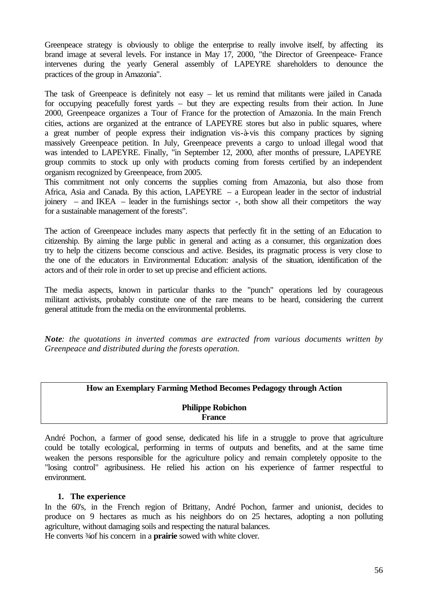Greenpeace strategy is obviously to oblige the enterprise to really involve itself, by affecting its brand image at several levels. For instance in May 17, 2000, "the Director of Greenpeace- France intervenes during the yearly General assembly of LAPEYRE shareholders to denounce the practices of the group in Amazonia".

The task of Greenpeace is definitely not easy – let us remind that militants were jailed in Canada for occupying peacefully forest yards – but they are expecting results from their action. In June 2000, Greenpeace organizes a Tour of France for the protection of Amazonia. In the main French cities, actions are organized at the entrance of LAPEYRE stores but also in public squares, where a great number of people express their indignation vis-à-vis this company practices by signing massively Greenpeace petition. In July, Greenpeace prevents a cargo to unload illegal wood that was intended to LAPEYRE. Finally, "in September 12, 2000, after months of pressure, LAPEYRE group commits to stock up only with products coming from forests certified by an independent organism recognized by Greenpeace, from 2005.

This commitment not only concerns the supplies coming from Amazonia, but also those from Africa, Asia and Canada. By this action, LAPEYRE – a European leader in the sector of industrial joinery – and IKEA – leader in the furnishings sector -, both show all their competitors the way for a sustainable management of the forests".

The action of Greenpeace includes many aspects that perfectly fit in the setting of an Education to citizenship. By aiming the large public in general and acting as a consumer, this organization does try to help the citizens become conscious and active. Besides, its pragmatic process is very close to the one of the educators in Environmental Education: analysis of the situation, identification of the actors and of their role in order to set up precise and efficient actions.

The media aspects, known in particular thanks to the "punch" operations led by courageous militant activists, probably constitute one of the rare means to be heard, considering the current general attitude from the media on the environmental problems.

*Note: the quotations in inverted commas are extracted from various documents written by Greenpeace and distributed during the forests operation.* 

| <b>How an Exemplary Farming Method Becomes Pedagogy through Action</b> |
|------------------------------------------------------------------------|
| <b>Philippe Robichon</b><br><b>France</b>                              |

André Pochon, a farmer of good sense, dedicated his life in a struggle to prove that agriculture could be totally ecological, performing in terms of outputs and benefits, and at the same time weaken the persons responsible for the agriculture policy and remain completely opposite to the "losing control" agribusiness. He relied his action on his experience of farmer respectful to environment.

#### **1. The experience**

In the 60's, in the French region of Brittany, André Pochon, farmer and unionist, decides to produce on 9 hectares as much as his neighbors do on 25 hectares, adopting a non polluting agriculture, without damaging soils and respecting the natural balances.

He converts <sup>3</sup> as a concern in a **prairie** sowed with white clover.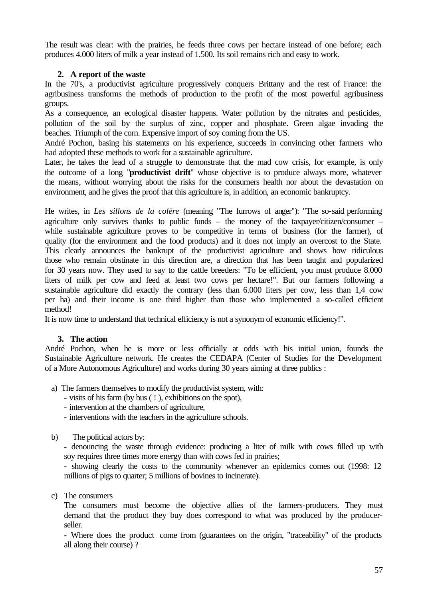The result was clear: with the prairies, he feeds three cows per hectare instead of one before; each produces 4.000 liters of milk a year instead of 1.500. Its soil remains rich and easy to work.

## **2. A report of the waste**

In the 70's, a productivist agriculture progressively conquers Brittany and the rest of France: the agribusiness transforms the methods of production to the profit of the most powerful agribusiness groups.

As a consequence, an ecological disaster happens. Water pollution by the nitrates and pesticides, pollution of the soil by the surplus of zinc, copper and phosphate. Green algae invading the beaches. Triumph of the corn. Expensive import of soy coming from the US.

André Pochon, basing his statements on his experience, succeeds in convincing other farmers who had adopted these methods to work for a sustainable agriculture.

Later, he takes the lead of a struggle to demonstrate that the mad cow crisis, for example, is only the outcome of a long "**productivist drift**" whose objective is to produce always more, whatever the means, without worrying about the risks for the consumers health nor about the devastation on environment, and he gives the proof that this agriculture is, in addition, an economic bankruptcy.

He writes, in *Les sillons de la colère* (meaning "The furrows of anger"): "The so-said performing agriculture only survives thanks to public funds – the money of the taxpayer/citizen/consumer – while sustainable agriculture proves to be competitive in terms of business (for the farmer), of quality (for the environment and the food products) and it does not imply an overcost to the State. This clearly announces the bankrupt of the productivist agriculture and shows how ridiculous those who remain obstinate in this direction are, a direction that has been taught and popularized for 30 years now. They used to say to the cattle breeders: "To be efficient, you must produce 8.000 liters of milk per cow and feed at least two cows per hectare!". But our farmers following a sustainable agriculture did exactly the contrary (less than 6.000 liters per cow, less than 1,4 cow per ha) and their income is one third higher than those who implemented a so-called efficient method!

It is now time to understand that technical efficiency is not a synonym of economic efficiency!".

#### **3. The action**

André Pochon, when he is more or less officially at odds with his initial union, founds the Sustainable Agriculture network. He creates the CEDAPA (Center of Studies for the Development of a More Autonomous Agriculture) and works during 30 years aiming at three publics :

- a) The farmers themselves to modify the productivist system, with:
	- visits of his farm (by bus ( ! ), exhibitions on the spot),
	- intervention at the chambers of agriculture,
	- interventions with the teachers in the agriculture schools.
- b) The political actors by:

- denouncing the waste through evidence: producing a liter of milk with cows filled up with soy requires three times more energy than with cows fed in prairies;

- showing clearly the costs to the community whenever an epidemics comes out (1998: 12 millions of pigs to quarter; 5 millions of bovines to incinerate).

c) The consumers

The consumers must become the objective allies of the farmers-producers. They must demand that the product they buy does correspond to what was produced by the producerseller.

- Where does the product come from (guarantees on the origin, "traceability" of the products all along their course) ?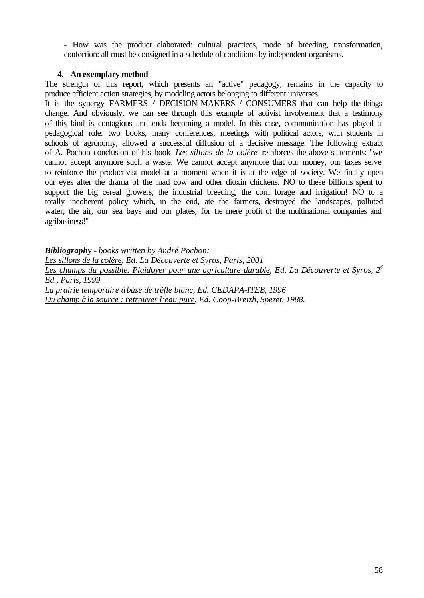- How was the product elaborated: cultural practices, mode of breeding, transformation, confection: all must be consigned in a schedule of conditions by independent organisms.

#### **4. An exemplary method**

The strength of this report, which presents an "active" pedagogy, remains in the capacity to produce efficient action strategies, by modeling actors belonging to different universes.

It is the synergy FARMERS / DECISION-MAKERS / CONSUMERS that can help the things change. And obviously, we can see through this example of activist involvement that a testimony of this kind is contagious and ends becoming a model. In this case, communication has played a pedagogical role: two books, many conferences, meetings with political actors, with students in schools of agronomy, allowed a successful diffusion of a decisive message. The following extract of A. Pochon conclusion of his book *Les sillons de la colère* reinforces the above statements: "we cannot accept anymore such a waste. We cannot accept anymore that our money, our taxes serve to reinforce the productivist model at a moment when it is at the edge of society. We finally open our eyes after the drama of the mad cow and other dioxin chickens. NO to these billions spent to support the big cereal growers, the industrial breeding, the corn forage and irrigation! NO to a totally incoherent policy which, in the end, ate the farmers, destroyed the landscapes, polluted water, the air, our sea bays and our plates, for the mere profit of the multinational companies and agribusiness!"

*Bibliography - books written by André Pochon: Les sillons de la colère, Ed. La Découverte et Syros, Paris, 2001 Les champs du possible. Plaidoyer pour une agriculture durable, Ed. La Découverte et Syros, 2<sup>d</sup> Ed., Paris, 1999 La prairie temporaire à base de trèfle blanc, Ed. CEDAPA-ITEB, 1996 Du champ à la source : retrouver l'eau pure, Ed. Coop-Breizh, Spezet, 1988.*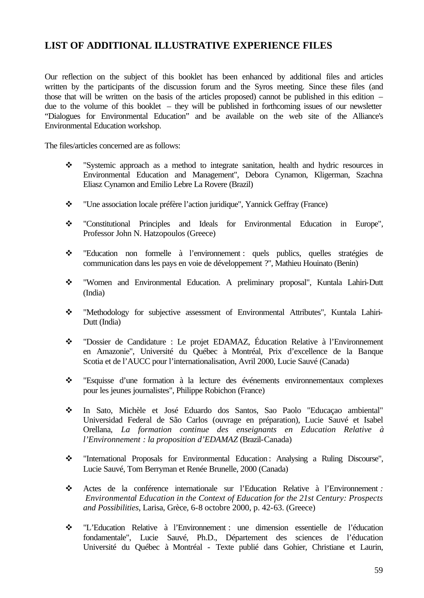## **LIST OF ADDITIONAL ILLUSTRATIVE EXPERIENCE FILES**

Our reflection on the subject of this booklet has been enhanced by additional files and articles written by the participants of the discussion forum and the Syros meeting. Since these files (and those that will be written on the basis of the articles proposed) cannot be published in this edition – due to the volume of this booklet – they will be published in forthcoming issues of our newsletter "Dialogues for Environmental Education" and be available on the web site of the Alliance's Environmental Education workshop.

The files/articles concerned are as follows:

- v "Systemic approach as a method to integrate sanitation, health and hydric resources in Environmental Education and Management", Debora Cynamon, Kligerman, Szachna Eliasz Cynamon and Emilio Lebre La Rovere (Brazil)
- v "Une association locale préfère l'action juridique", Yannick Geffray (France)
- v "Constitutional Principles and Ideals for Environmental Education in Europe", Professor John N. Hatzopoulos (Greece)
- v "Education non formelle à l'environnement : quels publics, quelles stratégies de communication dans les pays en voie de développement ?", Mathieu Houinato (Benin)
- v "Women and Environmental Education. A preliminary proposal", Kuntala Lahiri-Dutt (India)
- v "Methodology for subjective assessment of Environmental Attributes", Kuntala Lahiri-Dutt (India)
- v "Dossier de Candidature : Le projet EDAMAZ, Éducation Relative à l'Environnement en Amazonie", Université du Québec à Montréal, Prix d'excellence de la Banque Scotia et de l'AUCC pour l'internationalisation, Avril 2000, Lucie Sauvé (Canada)
- v "Esquisse d'une formation à la lecture des événements environnementaux complexes pour les jeunes journalistes", Philippe Robichon (France)
- v In Sato, Michèle et José Eduardo dos Santos, Sao Paolo "Educaçao ambiental" Universidad Federal de São Carlos (ouvrage en préparation), Lucie Sauvé et Isabel Orellana, *La formation continue des enseignants en Education Relative à l'Environnement : la proposition d'EDAMAZ* (Brazil-Canada)
- \* "International Proposals for Environmental Education: Analysing a Ruling Discourse", Lucie Sauvé, Tom Berryman et Renée Brunelle, 2000 (Canada)
- v Actes de la conférence internationale sur l'Education Relative à l'Environnement *: Environmental Education in the Context of Education for the 21st Century: Prospects and Possibilities*, Larisa, Grèce, 6-8 octobre 2000, p. 42-63. (Greece)
- v "L'Education Relative à l'Environnement : une dimension essentielle de l'éducation fondamentale", Lucie Sauvé, Ph.D., Département des sciences de l'éducation Université du Québec à Montréal - Texte publié dans Gohier, Christiane et Laurin,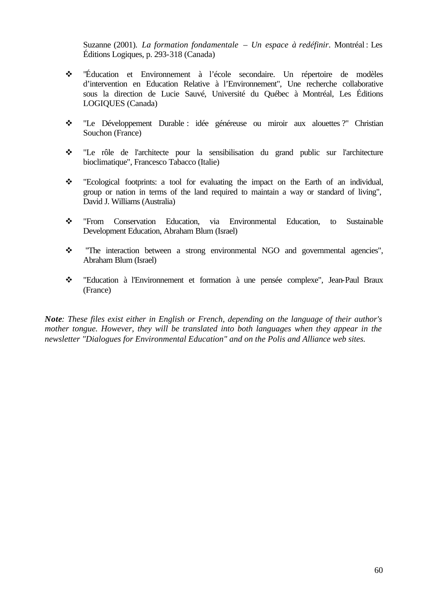Suzanne (2001). *La formation fondamentale – Un espace à redéfinir*. Montréal : Les Éditions Logiques, p. 293-318 (Canada)

- v "Éducation et Environnement à l'école secondaire. Un répertoire de modèles d'intervention en Education Relative à l'Environnement", Une recherche collaborative sous la direction de Lucie Sauvé, Université du Québec à Montréal, Les Éditions LOGIQUES (Canada)
- v "Le Développement Durable : idée généreuse ou miroir aux alouettes ?" Christian Souchon (France)
- v "Le rôle de l'architecte pour la sensibilisation du grand public sur l'architecture bioclimatique", Francesco Tabacco (Italie)
- v "Ecological footprints: a tool for evaluating the impact on the Earth of an individual, group or nation in terms of the land required to maintain a way or standard of living", David J. Williams (Australia)
- v "From Conservation Education, via Environmental Education, to Sustainable Development Education, Abraham Blum (Israel)
- \* "The interaction between a strong environmental NGO and governmental agencies", Abraham Blum (Israel)
- v "Education à l'Environnement et formation à une pensée complexe", Jean-Paul Braux (France)

*Note: These files exist either in English or French, depending on the language of their author's mother tongue. However, they will be translated into both languages when they appear in the newsletter "Dialogues for Environmental Education" and on the Polis and Alliance web sites.*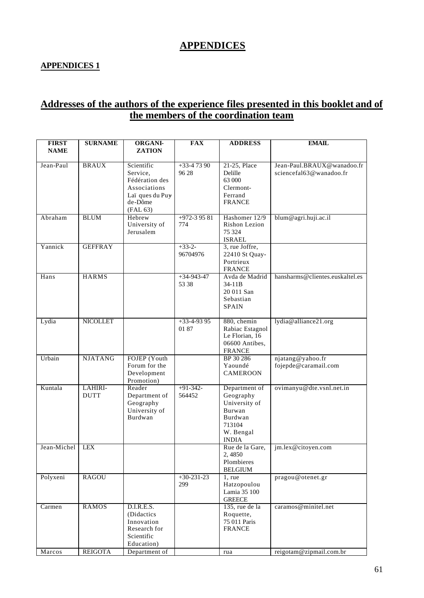# **APPENDICES**

## **APPENDICES 1**

# **Addresses of the authors of the experience files presented in this booklet and of the members of the coordination team**

| <b>FIRST</b> | <b>SURNAME</b>  | <b>ORGANI-</b>             | FAX          | <b>ADDRESS</b>                | <b>EMAIL</b>                    |
|--------------|-----------------|----------------------------|--------------|-------------------------------|---------------------------------|
| <b>NAME</b>  |                 | <b>ZATION</b>              |              |                               |                                 |
| Jean-Paul    | <b>BRAUX</b>    | Scientific                 | $+33-47390$  | 21-25, Place                  | Jean-Paul.BRAUX@wanadoo.fr      |
|              |                 | Service,                   | 96 28        | Delille                       | sciencefal63@wanadoo.fr         |
|              |                 | Fédération des             |              | 63 000                        |                                 |
|              |                 | Associations               |              | Clermont-                     |                                 |
|              |                 | Laï ques du Puy            |              | Ferrand                       |                                 |
|              |                 | de-Dôme                    |              | <b>FRANCE</b>                 |                                 |
|              |                 | (FAL 63)                   |              |                               |                                 |
| Abraham      | <b>BLUM</b>     | Hebrew                     | $+972-39581$ | Hashomer 12/9                 | blum@agri.huji.ac.il            |
|              |                 | University of<br>Jerusalem | 774          | Rishon Lezion<br>75 324       |                                 |
|              |                 |                            |              | <b>ISRAEL</b>                 |                                 |
| Yannick      | <b>GEFFRAY</b>  |                            | $+33-2-$     | 3, rue Joffre,                |                                 |
|              |                 |                            | 96704976     | 22410 St Quay-                |                                 |
|              |                 |                            |              | Portrieux                     |                                 |
|              |                 |                            |              | <b>FRANCE</b>                 |                                 |
| Hans         | <b>HARMS</b>    |                            | $+34-943-47$ | Avda de Madrid                | hansharms@clientes.euskaltel.es |
|              |                 |                            | 53 38        | 34-11B                        |                                 |
|              |                 |                            |              | 20 011 San                    |                                 |
|              |                 |                            |              | Sebastian                     |                                 |
|              |                 |                            |              | <b>SPAIN</b>                  |                                 |
| Lydia        | <b>NICOLLET</b> |                            | $+33-4-9395$ | 880, chemin                   | lydia@alliance21.org            |
|              |                 |                            | 01 87        | Rabiac Estagnol               |                                 |
|              |                 |                            |              | Le Florian, 16                |                                 |
|              |                 |                            |              | 06600 Antibes,                |                                 |
|              |                 |                            |              | <b>FRANCE</b>                 |                                 |
| Urbain       | <b>NJATANG</b>  | FOJEP (Youth               |              | BP 30 286                     | njatang@yahoo.fr                |
|              |                 | Forum for the              |              | Yaoundé                       | fojepde@caramail.com            |
|              |                 | Development<br>Promotion)  |              | <b>CAMEROON</b>               |                                 |
| Kuntala      | LAHIRI-         | Reader                     | $+91-342-$   | Department of                 | ovimanyu@dte.vsnl.net.in        |
|              | <b>DUTT</b>     | Department of              | 564452       | Geography                     |                                 |
|              |                 | Geography                  |              | University of                 |                                 |
|              |                 | University of              |              | Burwan                        |                                 |
|              |                 | Burdwan                    |              | Burdwan                       |                                 |
|              |                 |                            |              | 713104                        |                                 |
|              |                 |                            |              | W. Bengal                     |                                 |
|              |                 |                            |              | <b>INDIA</b>                  |                                 |
| Jean-Michel  | <b>LEX</b>      |                            |              | Rue de la Gare,               | jm.lex@citoyen.com              |
|              |                 |                            |              | 2,4850<br>Plombieres          |                                 |
|              |                 |                            |              | <b>BELGIUM</b>                |                                 |
| Polyxeni     | <b>RAGOU</b>    |                            | $+30-231-23$ | $1$ , rue                     | pragou@otenet.gr                |
|              |                 |                            | 299          | Hatzopoulou                   |                                 |
|              |                 |                            |              | Lamia 35 100                  |                                 |
|              |                 |                            |              | <b>GREECE</b>                 |                                 |
| Carmen       | <b>RAMOS</b>    | D.I.R.E.S.                 |              | 135, rue de la                | caramos@minitel.net             |
|              |                 | (Didactics                 |              | Roquette,                     |                                 |
|              |                 | Innovation<br>Research for |              | 75 011 Paris<br><b>FRANCE</b> |                                 |
|              |                 | Scientific                 |              |                               |                                 |
|              |                 | Education)                 |              |                               |                                 |
| Marcos       | <b>REIGOTA</b>  | Department of              |              | rua                           | reigotam@zipmail.com.br         |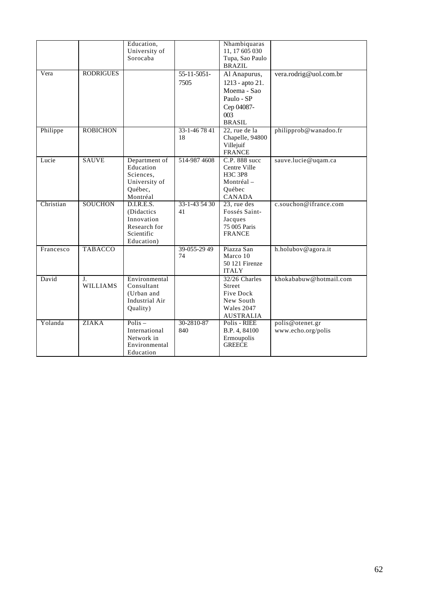|           |                                   | Education,<br>University of<br>Sorocaba                                             |                     | Nhambiquaras<br>11, 17 605 030<br>Tupa, Sao Paulo<br><b>BRAZIL</b>                                 |                                       |
|-----------|-----------------------------------|-------------------------------------------------------------------------------------|---------------------|----------------------------------------------------------------------------------------------------|---------------------------------------|
| Vera      | <b>RODRIGUES</b>                  |                                                                                     | 55-11-5051-<br>7505 | Al Anapurus,<br>1213 - apto 21.<br>Moema - Sao<br>Paulo - SP<br>Cep 04087-<br>003<br><b>BRASIL</b> | vera.rodrig@uol.com.br                |
| Philippe  | <b>ROBICHON</b>                   |                                                                                     | 33-1-467841<br>18   | 22, rue de la<br>Chapelle, 94800<br>Villejuif<br><b>FRANCE</b>                                     | philipprob@wanadoo.fr                 |
| Lucie     | <b>SAUVE</b>                      | Department of<br>Education<br>Sciences,<br>University of<br>Québec,<br>Montréal     | 514-987 4608        | C.P. 888 succ<br>Centre Ville<br>H3C 3P8<br>Montréal -<br>Québec<br><b>CANADA</b>                  | sauve.lucie@uqam.ca                   |
| Christian | <b>SOUCHON</b>                    | D.I.R.E.S.<br>(Didactics)<br>Innovation<br>Research for<br>Scientific<br>Education) | 33-1-43 54 30<br>41 | 23, rue des<br>Fossés Saint-<br>Jacques<br>75 005 Paris<br><b>FRANCE</b>                           | c.souchon@ifrance.com                 |
| Francesco | <b>TABACCO</b>                    |                                                                                     | 39-055-29 49<br>74  | Piazza San<br>Marco 10<br>50 121 Firenze<br><b>ITALY</b>                                           | h.holubov@agora.it                    |
| David     | J <sub>r</sub><br><b>WILLIAMS</b> | Environmental<br>Consultant<br>(Urban and<br>Industrial Air<br>Quality)             |                     | 32/26 Charles<br>Street<br>Five Dock<br>New South<br>Wales 2047<br><b>AUSTRALIA</b>                | khokababuw@hotmail.com                |
| Yolanda   | <b>ZIAKA</b>                      | $Polis -$<br>International<br>Network in<br>Environmental<br>Education              | 30-2810-87<br>840   | Polis - RIEE<br>B.P. 4, 84100<br>Ermoupolis<br><b>GREECE</b>                                       | polis@otenet.gr<br>www.echo.org/polis |